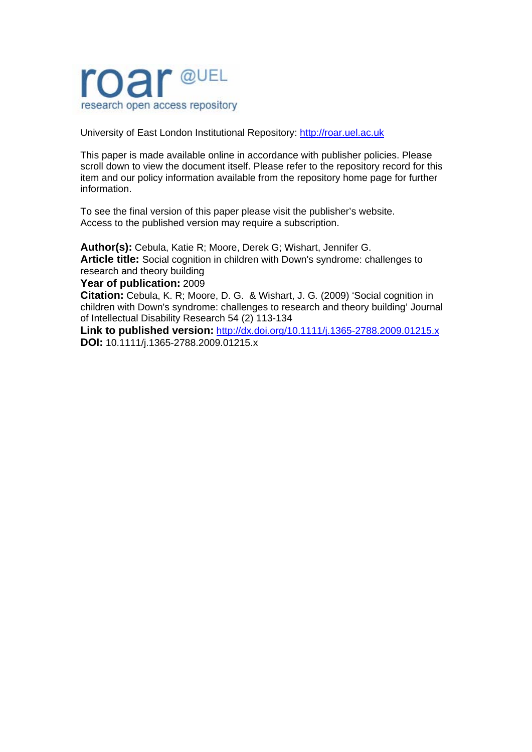

University of East London Institutional Repository: [http://roar.uel.ac.uk](http://roar.uel.ac.uk/) 

This paper is made available online in accordance with publisher policies. Please scroll down to view the document itself. Please refer to the repository record for this item and our policy information available from the repository home page for further information.

To see the final version of this paper please visit the publisher's website. Access to the published version may require a subscription.

**Author(s):** Cebula, Katie R; Moore, Derek G; Wishart, Jennifer G. **Article title:** Social cognition in children with Down's syndrome: challenges to research and theory building

**Year of publication:** 2009

**Citation:** Cebula, K. R; Moore, D. G. & Wishart, J. G*.* (2009) 'Social cognition in children with Down's syndrome: challenges to research and theory building' Journal of Intellectual Disability Research 54 (2) 113-134

**Link to published version:** <http://dx.doi.org/10.1111/j.1365-2788.2009.01215.x> **DOI:** 10.1111/j.1365-2788.2009.01215.x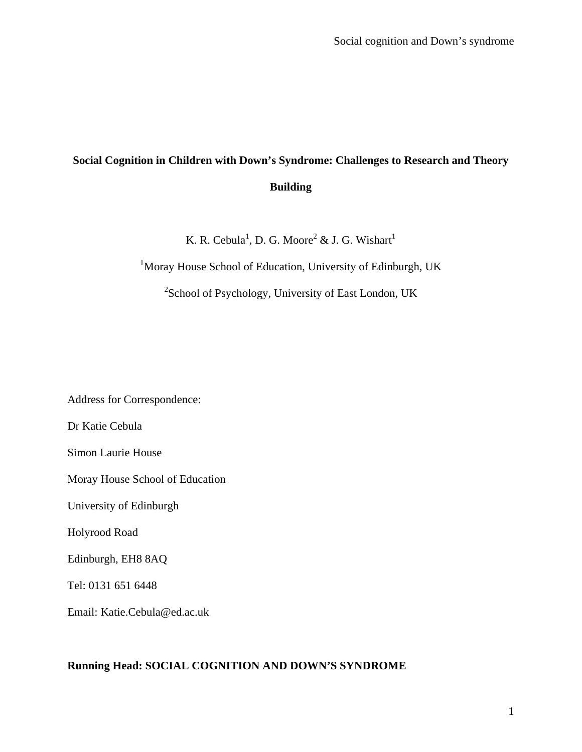# **Social Cognition in Children with Down's Syndrome: Challenges to Research and Theory Building**

K. R. Cebula<sup>1</sup>, D. G. Moore<sup>2</sup> & J. G. Wishart<sup>1</sup>

<sup>1</sup>Moray House School of Education, University of Edinburgh, UK

<sup>2</sup>School of Psychology, University of East London, UK

Address for Correspondence:

Dr Katie Cebula

Simon Laurie House

Moray House School of Education

University of Edinburgh

Holyrood Road

Edinburgh, EH8 8AQ

Tel: 0131 651 6448

Email: Katie.Cebula@ed.ac.uk

## **Running Head: SOCIAL COGNITION AND DOWN'S SYNDROME**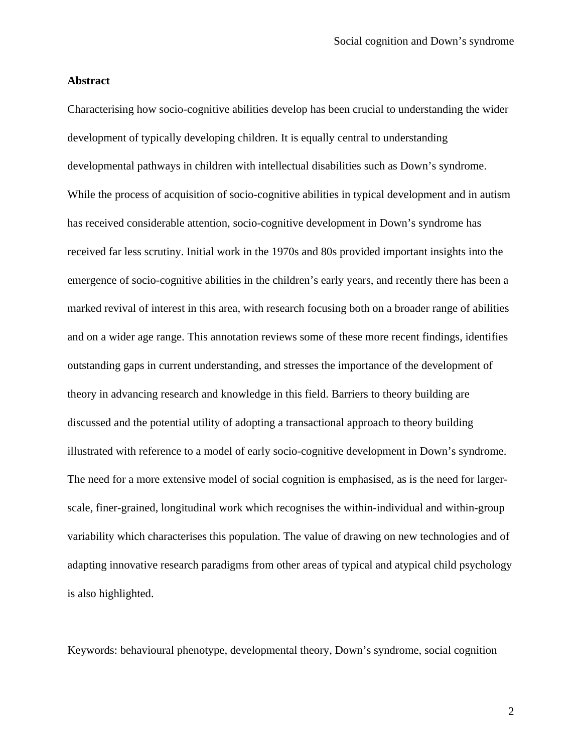## **Abstract**

Characterising how socio-cognitive abilities develop has been crucial to understanding the wider development of typically developing children. It is equally central to understanding developmental pathways in children with intellectual disabilities such as Down's syndrome. While the process of acquisition of socio-cognitive abilities in typical development and in autism has received considerable attention, socio-cognitive development in Down's syndrome has received far less scrutiny. Initial work in the 1970s and 80s provided important insights into the emergence of socio-cognitive abilities in the children's early years, and recently there has been a marked revival of interest in this area, with research focusing both on a broader range of abilities and on a wider age range. This annotation reviews some of these more recent findings, identifies outstanding gaps in current understanding, and stresses the importance of the development of theory in advancing research and knowledge in this field. Barriers to theory building are discussed and the potential utility of adopting a transactional approach to theory building illustrated with reference to a model of early socio-cognitive development in Down's syndrome. The need for a more extensive model of social cognition is emphasised, as is the need for largerscale, finer-grained, longitudinal work which recognises the within-individual and within-group variability which characterises this population. The value of drawing on new technologies and of adapting innovative research paradigms from other areas of typical and atypical child psychology is also highlighted.

Keywords: behavioural phenotype, developmental theory, Down's syndrome, social cognition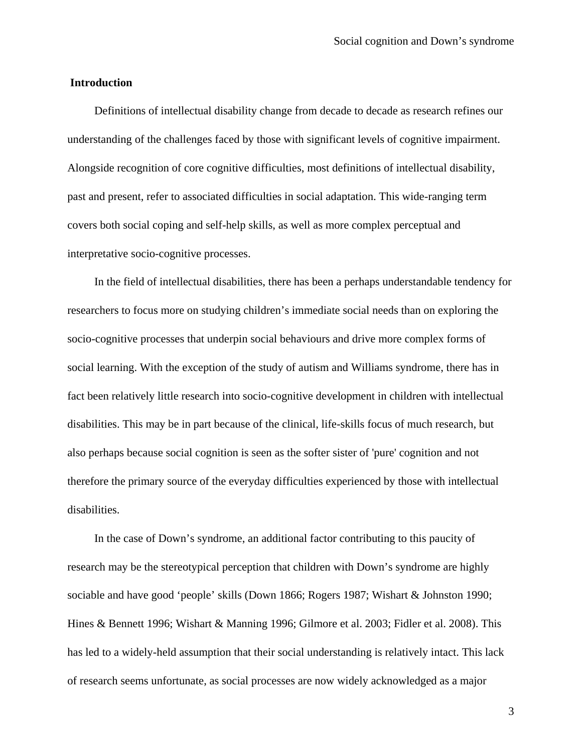### **Introduction**

Definitions of intellectual disability change from decade to decade as research refines our understanding of the challenges faced by those with significant levels of cognitive impairment. Alongside recognition of core cognitive difficulties, most definitions of intellectual disability, past and present, refer to associated difficulties in social adaptation. This wide-ranging term covers both social coping and self-help skills, as well as more complex perceptual and interpretative socio-cognitive processes.

In the field of intellectual disabilities, there has been a perhaps understandable tendency for researchers to focus more on studying children's immediate social needs than on exploring the socio-cognitive processes that underpin social behaviours and drive more complex forms of social learning. With the exception of the study of autism and Williams syndrome, there has in fact been relatively little research into socio-cognitive development in children with intellectual disabilities. This may be in part because of the clinical, life-skills focus of much research, but also perhaps because social cognition is seen as the softer sister of 'pure' cognition and not therefore the primary source of the everyday difficulties experienced by those with intellectual disabilities.

In the case of Down's syndrome, an additional factor contributing to this paucity of research may be the stereotypical perception that children with Down's syndrome are highly sociable and have good 'people' skills (Down 1866; Rogers 1987; Wishart & Johnston 1990; Hines & Bennett 1996; Wishart & Manning 1996; Gilmore et al. 2003; Fidler et al. 2008). This has led to a widely-held assumption that their social understanding is relatively intact. This lack of research seems unfortunate, as social processes are now widely acknowledged as a major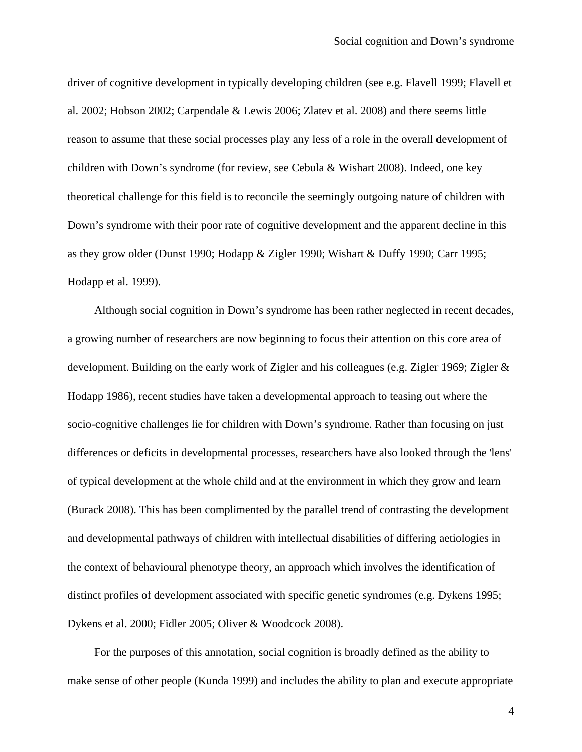driver of cognitive development in typically developing children (see e.g. Flavell 1999; Flavell et al. 2002; Hobson 2002; Carpendale & Lewis 2006; Zlatev et al. 2008) and there seems little reason to assume that these social processes play any less of a role in the overall development of children with Down's syndrome (for review, see Cebula & Wishart 2008). Indeed, one key theoretical challenge for this field is to reconcile the seemingly outgoing nature of children with Down's syndrome with their poor rate of cognitive development and the apparent decline in this as they grow older (Dunst 1990; Hodapp & Zigler 1990; Wishart & Duffy 1990; Carr 1995; Hodapp et al. 1999).

Although social cognition in Down's syndrome has been rather neglected in recent decades, a growing number of researchers are now beginning to focus their attention on this core area of development. Building on the early work of Zigler and his colleagues (e.g. Zigler 1969; Zigler & Hodapp 1986), recent studies have taken a developmental approach to teasing out where the socio-cognitive challenges lie for children with Down's syndrome. Rather than focusing on just differences or deficits in developmental processes, researchers have also looked through the 'lens' of typical development at the whole child and at the environment in which they grow and learn (Burack 2008). This has been complimented by the parallel trend of contrasting the development and developmental pathways of children with intellectual disabilities of differing aetiologies in the context of behavioural phenotype theory, an approach which involves the identification of distinct profiles of development associated with specific genetic syndromes (e.g. Dykens 1995; Dykens et al. 2000; Fidler 2005; Oliver & Woodcock 2008).

For the purposes of this annotation, social cognition is broadly defined as the ability to make sense of other people (Kunda 1999) and includes the ability to plan and execute appropriate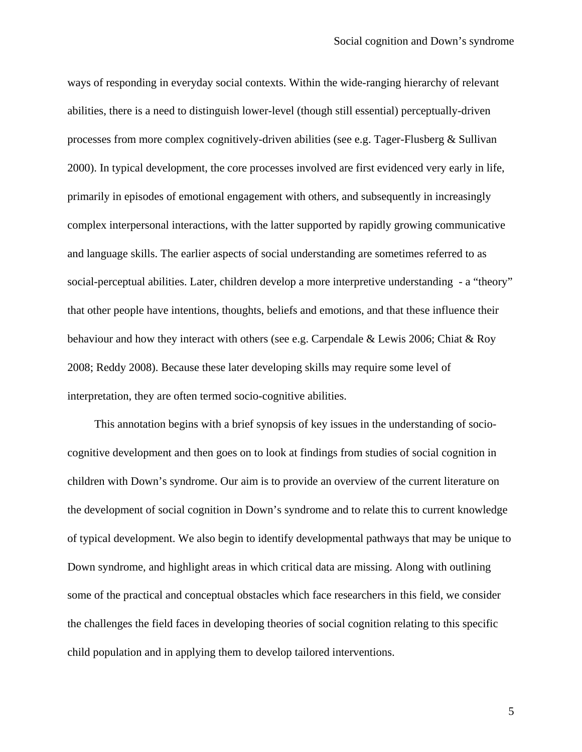ways of responding in everyday social contexts. Within the wide-ranging hierarchy of relevant abilities, there is a need to distinguish lower-level (though still essential) perceptually-driven processes from more complex cognitively-driven abilities (see e.g. Tager-Flusberg & Sullivan 2000). In typical development, the core processes involved are first evidenced very early in life, primarily in episodes of emotional engagement with others, and subsequently in increasingly complex interpersonal interactions, with the latter supported by rapidly growing communicative and language skills. The earlier aspects of social understanding are sometimes referred to as social-perceptual abilities. Later, children develop a more interpretive understanding - a "theory" that other people have intentions, thoughts, beliefs and emotions, and that these influence their behaviour and how they interact with others (see e.g. Carpendale & Lewis 2006; Chiat & Roy 2008; Reddy 2008). Because these later developing skills may require some level of interpretation, they are often termed socio-cognitive abilities.

This annotation begins with a brief synopsis of key issues in the understanding of sociocognitive development and then goes on to look at findings from studies of social cognition in children with Down's syndrome. Our aim is to provide an overview of the current literature on the development of social cognition in Down's syndrome and to relate this to current knowledge of typical development. We also begin to identify developmental pathways that may be unique to Down syndrome, and highlight areas in which critical data are missing. Along with outlining some of the practical and conceptual obstacles which face researchers in this field, we consider the challenges the field faces in developing theories of social cognition relating to this specific child population and in applying them to develop tailored interventions.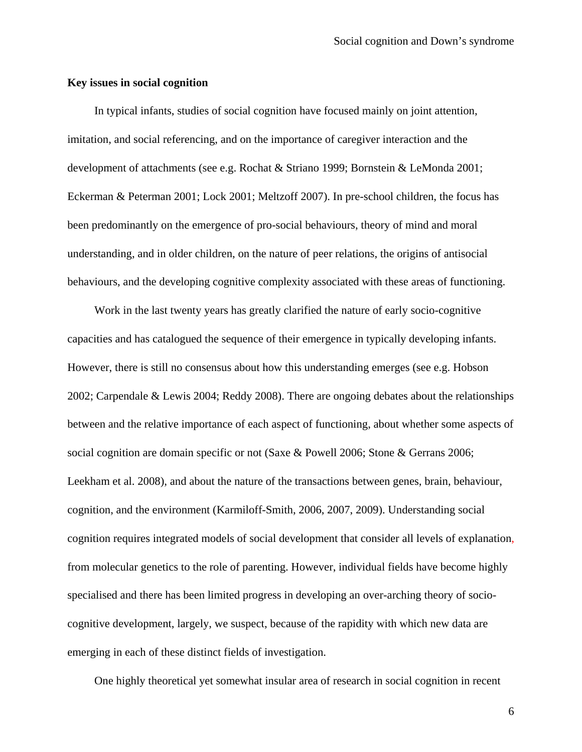#### **Key issues in social cognition**

In typical infants, studies of social cognition have focused mainly on joint attention, imitation, and social referencing, and on the importance of caregiver interaction and the development of attachments (see e.g. Rochat & Striano 1999; Bornstein & LeMonda 2001; Eckerman & Peterman 2001; Lock 2001; Meltzoff 2007). In pre-school children, the focus has been predominantly on the emergence of pro-social behaviours, theory of mind and moral understanding, and in older children, on the nature of peer relations, the origins of antisocial behaviours, and the developing cognitive complexity associated with these areas of functioning.

Work in the last twenty years has greatly clarified the nature of early socio-cognitive capacities and has catalogued the sequence of their emergence in typically developing infants. However, there is still no consensus about how this understanding emerges (see e.g. Hobson 2002; Carpendale & Lewis 2004; Reddy 2008). There are ongoing debates about the relationships between and the relative importance of each aspect of functioning, about whether some aspects of social cognition are domain specific or not (Saxe & Powell 2006; Stone & Gerrans 2006; Leekham et al. 2008), and about the nature of the transactions between genes, brain, behaviour, cognition, and the environment (Karmiloff-Smith, 2006, 2007, 2009). Understanding social cognition requires integrated models of social development that consider all levels of explanation, from molecular genetics to the role of parenting. However, individual fields have become highly specialised and there has been limited progress in developing an over-arching theory of sociocognitive development, largely, we suspect, because of the rapidity with which new data are emerging in each of these distinct fields of investigation.

One highly theoretical yet somewhat insular area of research in social cognition in recent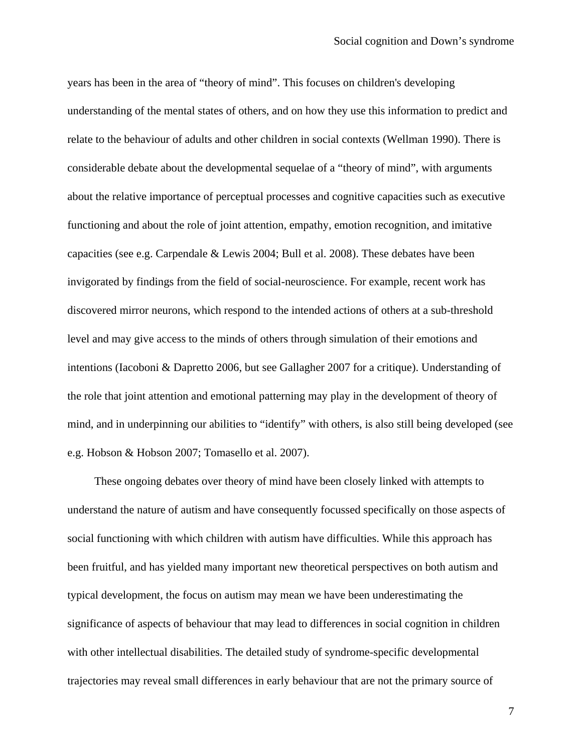years has been in the area of "theory of mind". This focuses on children's developing understanding of the mental states of others, and on how they use this information to predict and relate to the behaviour of adults and other children in social contexts (Wellman 1990). There is considerable debate about the developmental sequelae of a "theory of mind", with arguments about the relative importance of perceptual processes and cognitive capacities such as executive functioning and about the role of joint attention, empathy, emotion recognition, and imitative capacities (see e.g. Carpendale & Lewis 2004; Bull et al. 2008). These debates have been invigorated by findings from the field of social-neuroscience. For example, recent work has discovered mirror neurons, which respond to the intended actions of others at a sub-threshold level and may give access to the minds of others through simulation of their emotions and intentions (Iacoboni & Dapretto 2006, but see Gallagher 2007 for a critique). Understanding of the role that joint attention and emotional patterning may play in the development of theory of mind, and in underpinning our abilities to "identify" with others, is also still being developed (see e.g. Hobson & Hobson 2007; Tomasello et al. 2007).

These ongoing debates over theory of mind have been closely linked with attempts to understand the nature of autism and have consequently focussed specifically on those aspects of social functioning with which children with autism have difficulties. While this approach has been fruitful, and has yielded many important new theoretical perspectives on both autism and typical development, the focus on autism may mean we have been underestimating the significance of aspects of behaviour that may lead to differences in social cognition in children with other intellectual disabilities. The detailed study of syndrome-specific developmental trajectories may reveal small differences in early behaviour that are not the primary source of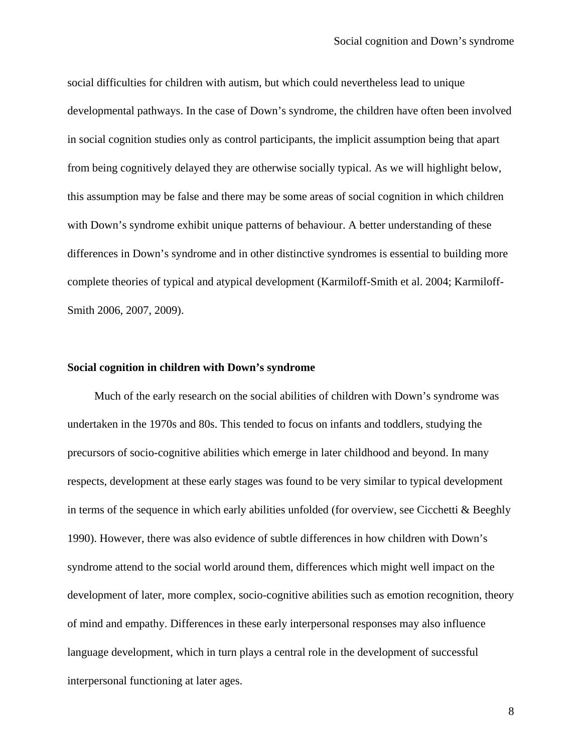social difficulties for children with autism, but which could nevertheless lead to unique developmental pathways. In the case of Down's syndrome, the children have often been involved in social cognition studies only as control participants, the implicit assumption being that apart from being cognitively delayed they are otherwise socially typical. As we will highlight below, this assumption may be false and there may be some areas of social cognition in which children with Down's syndrome exhibit unique patterns of behaviour. A better understanding of these differences in Down's syndrome and in other distinctive syndromes is essential to building more complete theories of typical and atypical development (Karmiloff-Smith et al. 2004; Karmiloff-Smith 2006, 2007, 2009).

### **Social cognition in children with Down's syndrome**

Much of the early research on the social abilities of children with Down's syndrome was undertaken in the 1970s and 80s. This tended to focus on infants and toddlers, studying the precursors of socio-cognitive abilities which emerge in later childhood and beyond. In many respects, development at these early stages was found to be very similar to typical development in terms of the sequence in which early abilities unfolded (for overview, see Cicchetti & Beeghly 1990). However, there was also evidence of subtle differences in how children with Down's syndrome attend to the social world around them, differences which might well impact on the development of later, more complex, socio-cognitive abilities such as emotion recognition, theory of mind and empathy. Differences in these early interpersonal responses may also influence language development, which in turn plays a central role in the development of successful interpersonal functioning at later ages.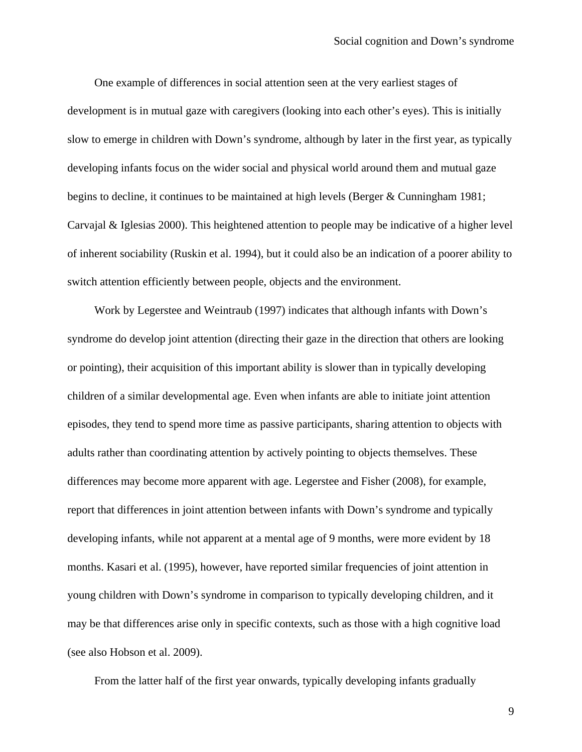One example of differences in social attention seen at the very earliest stages of development is in mutual gaze with caregivers (looking into each other's eyes). This is initially slow to emerge in children with Down's syndrome, although by later in the first year, as typically developing infants focus on the wider social and physical world around them and mutual gaze begins to decline, it continues to be maintained at high levels (Berger & Cunningham 1981; Carvajal & Iglesias 2000). This heightened attention to people may be indicative of a higher level of inherent sociability (Ruskin et al. 1994), but it could also be an indication of a poorer ability to switch attention efficiently between people, objects and the environment.

Work by Legerstee and Weintraub (1997) indicates that although infants with Down's syndrome do develop joint attention (directing their gaze in the direction that others are looking or pointing), their acquisition of this important ability is slower than in typically developing children of a similar developmental age. Even when infants are able to initiate joint attention episodes, they tend to spend more time as passive participants, sharing attention to objects with adults rather than coordinating attention by actively pointing to objects themselves. These differences may become more apparent with age. Legerstee and Fisher (2008), for example, report that differences in joint attention between infants with Down's syndrome and typically developing infants, while not apparent at a mental age of 9 months, were more evident by 18 months. Kasari et al. (1995), however, have reported similar frequencies of joint attention in young children with Down's syndrome in comparison to typically developing children, and it may be that differences arise only in specific contexts, such as those with a high cognitive load (see also Hobson et al. 2009).

From the latter half of the first year onwards, typically developing infants gradually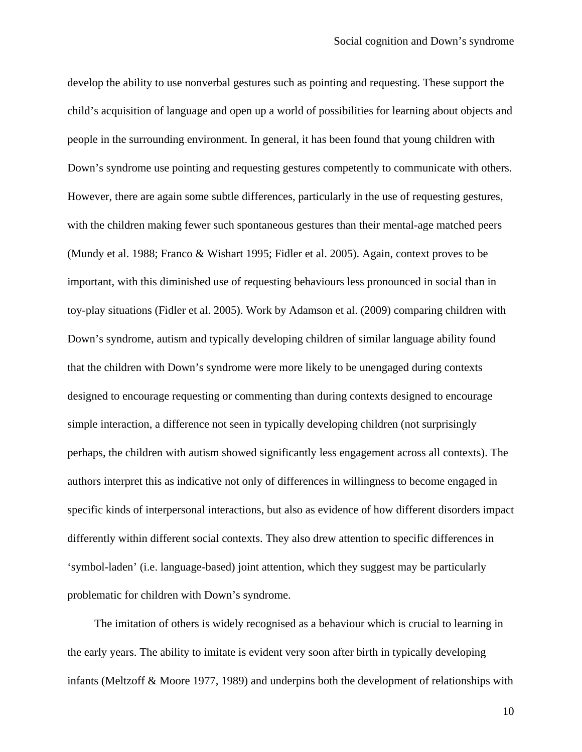develop the ability to use nonverbal gestures such as pointing and requesting. These support the child's acquisition of language and open up a world of possibilities for learning about objects and people in the surrounding environment. In general, it has been found that young children with Down's syndrome use pointing and requesting gestures competently to communicate with others. However, there are again some subtle differences, particularly in the use of requesting gestures, with the children making fewer such spontaneous gestures than their mental-age matched peers (Mundy et al. 1988; Franco & Wishart 1995; Fidler et al. 2005). Again, context proves to be important, with this diminished use of requesting behaviours less pronounced in social than in toy-play situations (Fidler et al. 2005). Work by Adamson et al. (2009) comparing children with Down's syndrome, autism and typically developing children of similar language ability found that the children with Down's syndrome were more likely to be unengaged during contexts designed to encourage requesting or commenting than during contexts designed to encourage simple interaction, a difference not seen in typically developing children (not surprisingly perhaps, the children with autism showed significantly less engagement across all contexts). The authors interpret this as indicative not only of differences in willingness to become engaged in specific kinds of interpersonal interactions, but also as evidence of how different disorders impact differently within different social contexts. They also drew attention to specific differences in 'symbol-laden' (i.e. language-based) joint attention, which they suggest may be particularly problematic for children with Down's syndrome.

The imitation of others is widely recognised as a behaviour which is crucial to learning in the early years. The ability to imitate is evident very soon after birth in typically developing infants (Meltzoff & Moore 1977, 1989) and underpins both the development of relationships with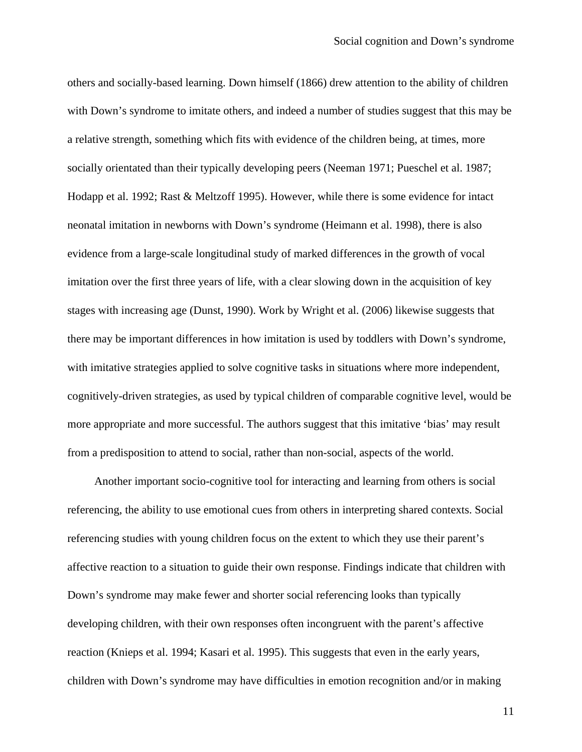others and socially-based learning. Down himself (1866) drew attention to the ability of children with Down's syndrome to imitate others, and indeed a number of studies suggest that this may be a relative strength, something which fits with evidence of the children being, at times, more socially orientated than their typically developing peers (Neeman 1971; Pueschel et al. 1987; Hodapp et al. 1992; Rast & Meltzoff 1995). However, while there is some evidence for intact neonatal imitation in newborns with Down's syndrome (Heimann et al. 1998), there is also evidence from a large-scale longitudinal study of marked differences in the growth of vocal imitation over the first three years of life, with a clear slowing down in the acquisition of key stages with increasing age (Dunst, 1990). Work by Wright et al. (2006) likewise suggests that there may be important differences in how imitation is used by toddlers with Down's syndrome, with imitative strategies applied to solve cognitive tasks in situations where more independent, cognitively-driven strategies, as used by typical children of comparable cognitive level, would be more appropriate and more successful. The authors suggest that this imitative 'bias' may result from a predisposition to attend to social, rather than non-social, aspects of the world.

Another important socio-cognitive tool for interacting and learning from others is social referencing, the ability to use emotional cues from others in interpreting shared contexts. Social referencing studies with young children focus on the extent to which they use their parent's affective reaction to a situation to guide their own response. Findings indicate that children with Down's syndrome may make fewer and shorter social referencing looks than typically developing children, with their own responses often incongruent with the parent's affective reaction (Knieps et al. 1994; Kasari et al. 1995). This suggests that even in the early years, children with Down's syndrome may have difficulties in emotion recognition and/or in making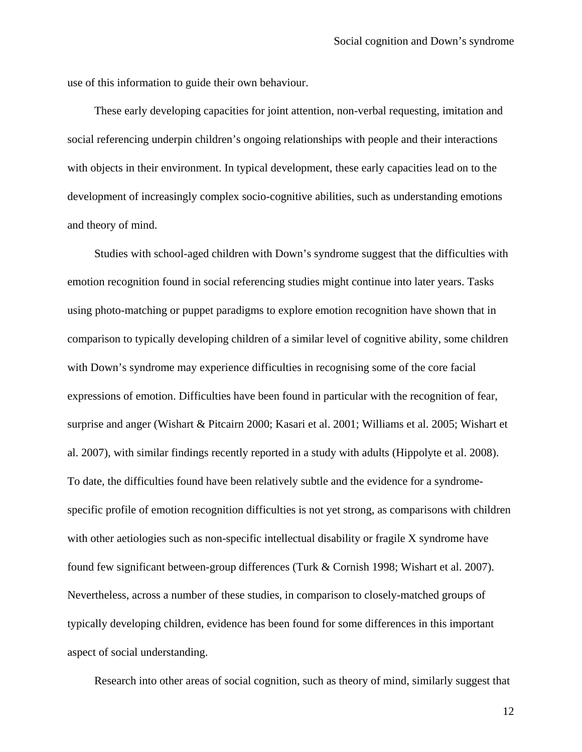use of this information to guide their own behaviour.

These early developing capacities for joint attention, non-verbal requesting, imitation and social referencing underpin children's ongoing relationships with people and their interactions with objects in their environment. In typical development, these early capacities lead on to the development of increasingly complex socio-cognitive abilities, such as understanding emotions and theory of mind.

Studies with school-aged children with Down's syndrome suggest that the difficulties with emotion recognition found in social referencing studies might continue into later years. Tasks using photo-matching or puppet paradigms to explore emotion recognition have shown that in comparison to typically developing children of a similar level of cognitive ability, some children with Down's syndrome may experience difficulties in recognising some of the core facial expressions of emotion. Difficulties have been found in particular with the recognition of fear, surprise and anger (Wishart & Pitcairn 2000; Kasari et al. 2001; Williams et al. 2005; Wishart et al. 2007), with similar findings recently reported in a study with adults (Hippolyte et al. 2008). To date, the difficulties found have been relatively subtle and the evidence for a syndromespecific profile of emotion recognition difficulties is not yet strong, as comparisons with children with other aetiologies such as non-specific intellectual disability or fragile X syndrome have found few significant between-group differences (Turk & Cornish 1998; Wishart et al. 2007). Nevertheless, across a number of these studies, in comparison to closely-matched groups of typically developing children, evidence has been found for some differences in this important aspect of social understanding.

Research into other areas of social cognition, such as theory of mind, similarly suggest that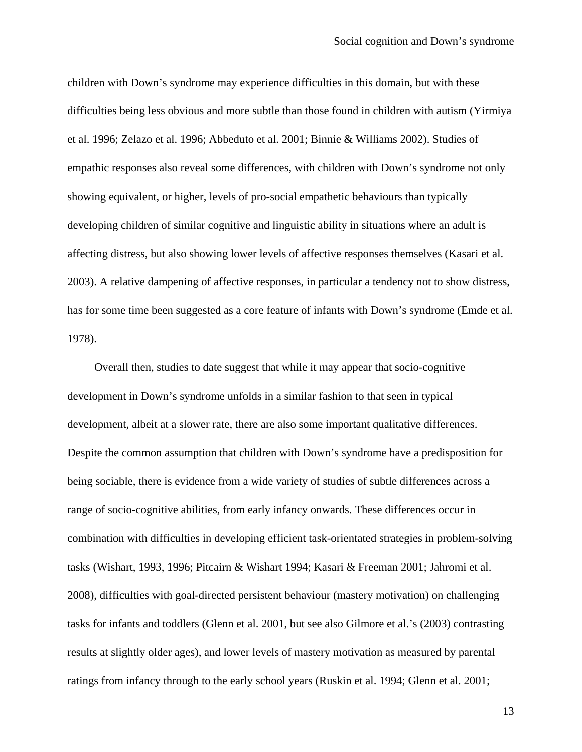children with Down's syndrome may experience difficulties in this domain, but with these difficulties being less obvious and more subtle than those found in children with autism (Yirmiya et al. 1996; Zelazo et al. 1996; Abbeduto et al. 2001; Binnie & Williams 2002). Studies of empathic responses also reveal some differences, with children with Down's syndrome not only showing equivalent, or higher, levels of pro-social empathetic behaviours than typically developing children of similar cognitive and linguistic ability in situations where an adult is affecting distress, but also showing lower levels of affective responses themselves (Kasari et al. 2003). A relative dampening of affective responses, in particular a tendency not to show distress, has for some time been suggested as a core feature of infants with Down's syndrome (Emde et al. 1978).

Overall then, studies to date suggest that while it may appear that socio-cognitive development in Down's syndrome unfolds in a similar fashion to that seen in typical development, albeit at a slower rate, there are also some important qualitative differences. Despite the common assumption that children with Down's syndrome have a predisposition for being sociable, there is evidence from a wide variety of studies of subtle differences across a range of socio-cognitive abilities, from early infancy onwards. These differences occur in combination with difficulties in developing efficient task-orientated strategies in problem-solving tasks (Wishart, 1993, 1996; Pitcairn & Wishart 1994; Kasari & Freeman 2001; Jahromi et al. 2008), difficulties with goal-directed persistent behaviour (mastery motivation) on challenging tasks for infants and toddlers (Glenn et al. 2001, but see also Gilmore et al.'s (2003) contrasting results at slightly older ages), and lower levels of mastery motivation as measured by parental ratings from infancy through to the early school years (Ruskin et al. 1994; Glenn et al. 2001;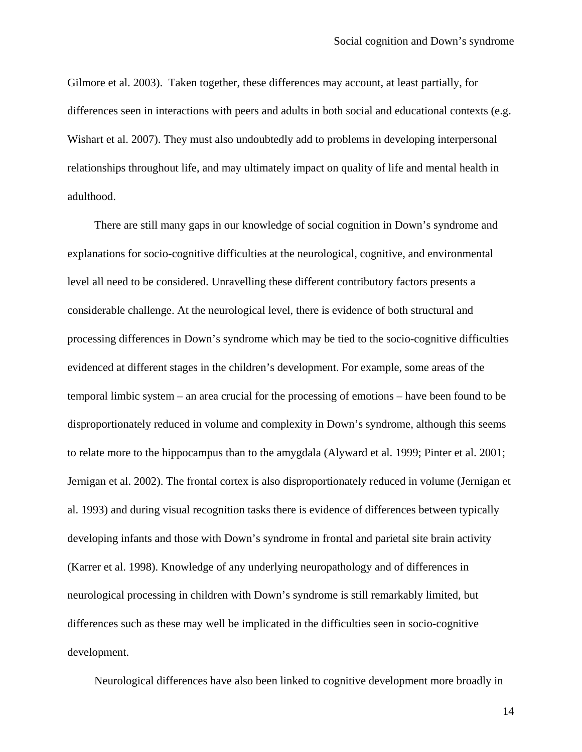Gilmore et al. 2003). Taken together, these differences may account, at least partially, for differences seen in interactions with peers and adults in both social and educational contexts (e.g. Wishart et al. 2007). They must also undoubtedly add to problems in developing interpersonal relationships throughout life, and may ultimately impact on quality of life and mental health in adulthood.

There are still many gaps in our knowledge of social cognition in Down's syndrome and explanations for socio-cognitive difficulties at the neurological, cognitive, and environmental level all need to be considered. Unravelling these different contributory factors presents a considerable challenge. At the neurological level, there is evidence of both structural and processing differences in Down's syndrome which may be tied to the socio-cognitive difficulties evidenced at different stages in the children's development. For example, some areas of the temporal limbic system – an area crucial for the processing of emotions – have been found to be disproportionately reduced in volume and complexity in Down's syndrome, although this seems to relate more to the hippocampus than to the amygdala (Alyward et al. 1999; Pinter et al. 2001; Jernigan et al. 2002). The frontal cortex is also disproportionately reduced in volume (Jernigan et al. 1993) and during visual recognition tasks there is evidence of differences between typically developing infants and those with Down's syndrome in frontal and parietal site brain activity (Karrer et al. 1998). Knowledge of any underlying neuropathology and of differences in neurological processing in children with Down's syndrome is still remarkably limited, but differences such as these may well be implicated in the difficulties seen in socio-cognitive development.

Neurological differences have also been linked to cognitive development more broadly in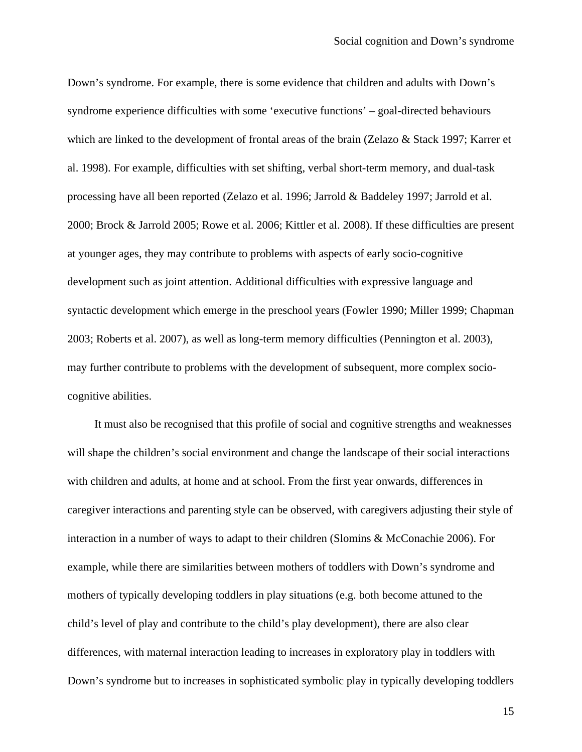Down's syndrome. For example, there is some evidence that children and adults with Down's syndrome experience difficulties with some 'executive functions' – goal-directed behaviours which are linked to the development of frontal areas of the brain (Zelazo & Stack 1997; Karrer et al. 1998). For example, difficulties with set shifting, verbal short-term memory, and dual-task processing have all been reported (Zelazo et al. 1996; Jarrold & Baddeley 1997; Jarrold et al. 2000; Brock & Jarrold 2005; Rowe et al. 2006; Kittler et al. 2008). If these difficulties are present at younger ages, they may contribute to problems with aspects of early socio-cognitive development such as joint attention. Additional difficulties with expressive language and syntactic development which emerge in the preschool years (Fowler 1990; Miller 1999; Chapman 2003; Roberts et al. 2007), as well as long-term memory difficulties (Pennington et al. 2003), may further contribute to problems with the development of subsequent, more complex sociocognitive abilities.

It must also be recognised that this profile of social and cognitive strengths and weaknesses will shape the children's social environment and change the landscape of their social interactions with children and adults, at home and at school. From the first year onwards, differences in caregiver interactions and parenting style can be observed, with caregivers adjusting their style of interaction in a number of ways to adapt to their children (Slomins & McConachie 2006). For example, while there are similarities between mothers of toddlers with Down's syndrome and mothers of typically developing toddlers in play situations (e.g. both become attuned to the child's level of play and contribute to the child's play development), there are also clear differences, with maternal interaction leading to increases in exploratory play in toddlers with Down's syndrome but to increases in sophisticated symbolic play in typically developing toddlers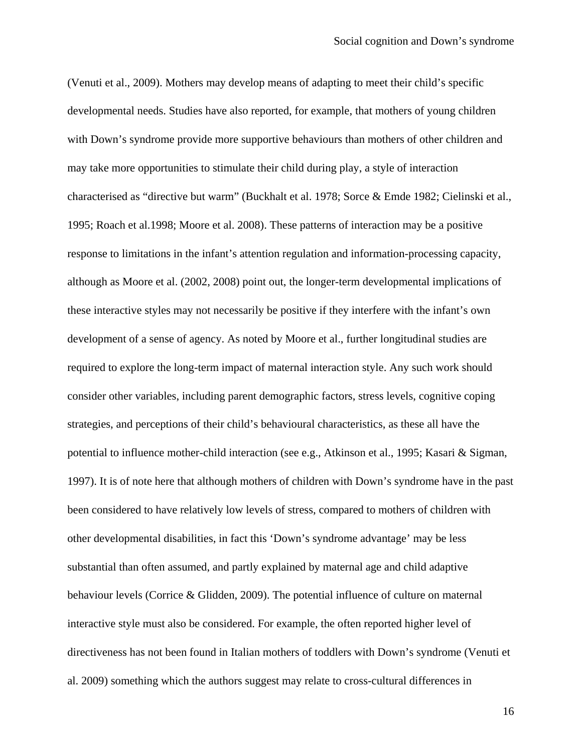(Venuti et al., 2009). Mothers may develop means of adapting to meet their child's specific developmental needs. Studies have also reported, for example, that mothers of young children with Down's syndrome provide more supportive behaviours than mothers of other children and may take more opportunities to stimulate their child during play, a style of interaction characterised as "directive but warm" (Buckhalt et al. 1978; Sorce & Emde 1982; Cielinski et al., 1995; Roach et al.1998; Moore et al. 2008). These patterns of interaction may be a positive response to limitations in the infant's attention regulation and information-processing capacity, although as Moore et al. (2002, 2008) point out, the longer-term developmental implications of these interactive styles may not necessarily be positive if they interfere with the infant's own development of a sense of agency. As noted by Moore et al., further longitudinal studies are required to explore the long-term impact of maternal interaction style. Any such work should consider other variables, including parent demographic factors, stress levels, cognitive coping strategies, and perceptions of their child's behavioural characteristics, as these all have the potential to influence mother-child interaction (see e.g., Atkinson et al., 1995; Kasari & Sigman, 1997). It is of note here that although mothers of children with Down's syndrome have in the past been considered to have relatively low levels of stress, compared to mothers of children with other developmental disabilities, in fact this 'Down's syndrome advantage' may be less substantial than often assumed, and partly explained by maternal age and child adaptive behaviour levels (Corrice & Glidden, 2009). The potential influence of culture on maternal interactive style must also be considered. For example, the often reported higher level of directiveness has not been found in Italian mothers of toddlers with Down's syndrome (Venuti et al. 2009) something which the authors suggest may relate to cross-cultural differences in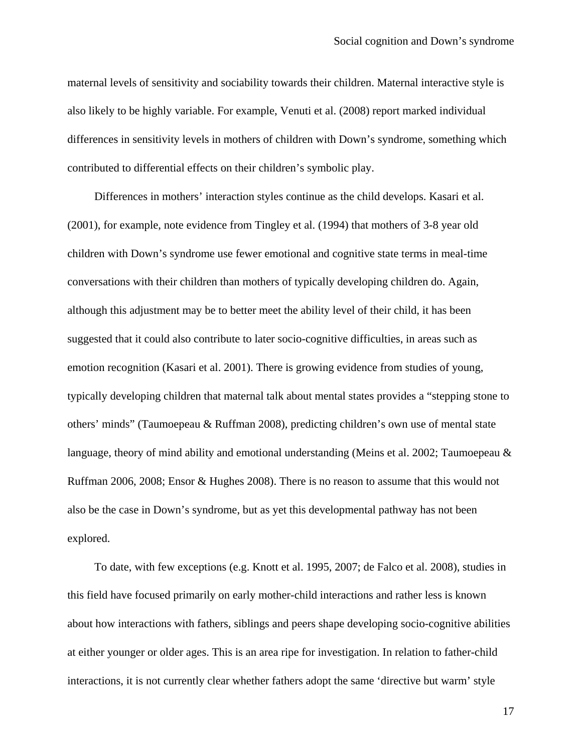maternal levels of sensitivity and sociability towards their children. Maternal interactive style is also likely to be highly variable. For example, Venuti et al. (2008) report marked individual differences in sensitivity levels in mothers of children with Down's syndrome, something which contributed to differential effects on their children's symbolic play.

Differences in mothers' interaction styles continue as the child develops. Kasari et al. (2001), for example, note evidence from Tingley et al. (1994) that mothers of 3-8 year old children with Down's syndrome use fewer emotional and cognitive state terms in meal-time conversations with their children than mothers of typically developing children do. Again, although this adjustment may be to better meet the ability level of their child, it has been suggested that it could also contribute to later socio-cognitive difficulties, in areas such as emotion recognition (Kasari et al. 2001). There is growing evidence from studies of young, typically developing children that maternal talk about mental states provides a "stepping stone to others' minds" (Taumoepeau & Ruffman 2008), predicting children's own use of mental state language, theory of mind ability and emotional understanding (Meins et al. 2002; Taumoepeau & Ruffman 2006, 2008; Ensor & Hughes 2008). There is no reason to assume that this would not also be the case in Down's syndrome, but as yet this developmental pathway has not been explored.

To date, with few exceptions (e.g. Knott et al. 1995, 2007; de Falco et al. 2008), studies in this field have focused primarily on early mother-child interactions and rather less is known about how interactions with fathers, siblings and peers shape developing socio-cognitive abilities at either younger or older ages. This is an area ripe for investigation. In relation to father-child interactions, it is not currently clear whether fathers adopt the same 'directive but warm' style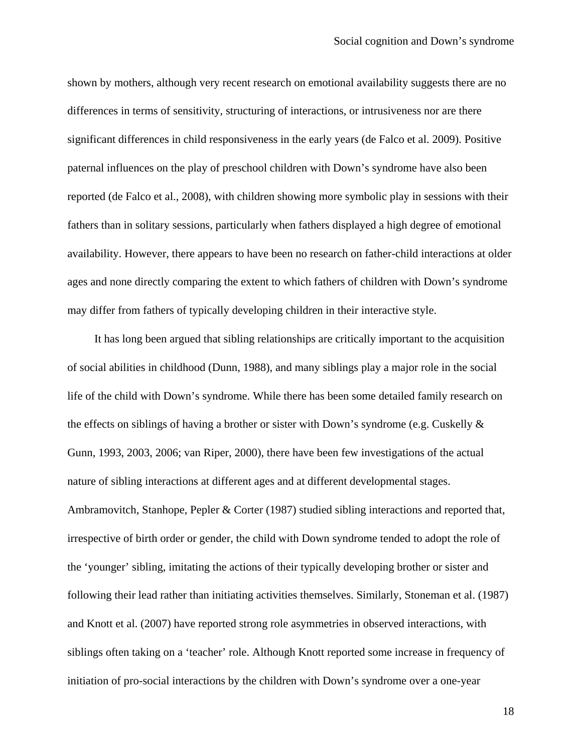shown by mothers, although very recent research on emotional availability suggests there are no differences in terms of sensitivity, structuring of interactions, or intrusiveness nor are there significant differences in child responsiveness in the early years (de Falco et al. 2009). Positive paternal influences on the play of preschool children with Down's syndrome have also been reported (de Falco et al., 2008), with children showing more symbolic play in sessions with their fathers than in solitary sessions, particularly when fathers displayed a high degree of emotional availability. However, there appears to have been no research on father-child interactions at older ages and none directly comparing the extent to which fathers of children with Down's syndrome may differ from fathers of typically developing children in their interactive style.

It has long been argued that sibling relationships are critically important to the acquisition of social abilities in childhood (Dunn, 1988), and many siblings play a major role in the social life of the child with Down's syndrome. While there has been some detailed family research on the effects on siblings of having a brother or sister with Down's syndrome (e.g. Cuskelly & Gunn, 1993, 2003, 2006; van Riper, 2000), there have been few investigations of the actual nature of sibling interactions at different ages and at different developmental stages. Ambramovitch, Stanhope, Pepler & Corter (1987) studied sibling interactions and reported that, irrespective of birth order or gender, the child with Down syndrome tended to adopt the role of the 'younger' sibling, imitating the actions of their typically developing brother or sister and following their lead rather than initiating activities themselves. Similarly, Stoneman et al. (1987) and Knott et al. (2007) have reported strong role asymmetries in observed interactions, with siblings often taking on a 'teacher' role. Although Knott reported some increase in frequency of initiation of pro-social interactions by the children with Down's syndrome over a one-year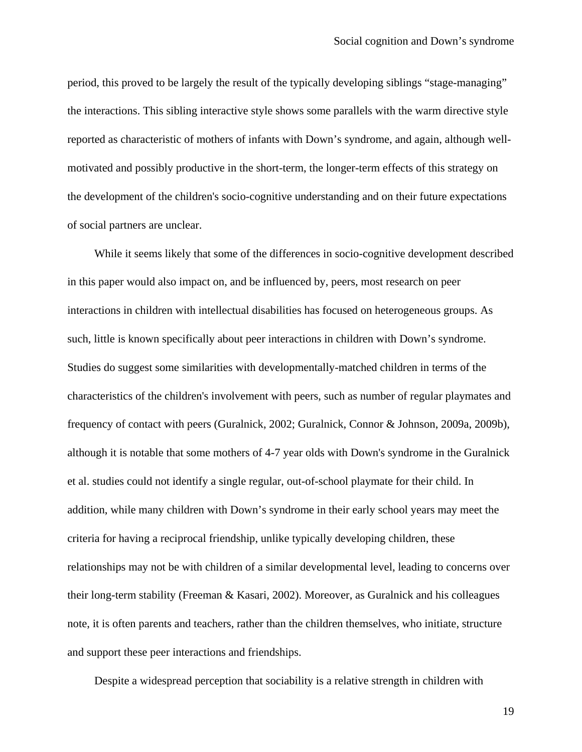period, this proved to be largely the result of the typically developing siblings "stage-managing" the interactions. This sibling interactive style shows some parallels with the warm directive style reported as characteristic of mothers of infants with Down's syndrome, and again, although wellmotivated and possibly productive in the short-term, the longer-term effects of this strategy on the development of the children's socio-cognitive understanding and on their future expectations of social partners are unclear.

While it seems likely that some of the differences in socio-cognitive development described in this paper would also impact on, and be influenced by, peers, most research on peer interactions in children with intellectual disabilities has focused on heterogeneous groups. As such, little is known specifically about peer interactions in children with Down's syndrome. Studies do suggest some similarities with developmentally-matched children in terms of the characteristics of the children's involvement with peers, such as number of regular playmates and frequency of contact with peers (Guralnick, 2002; Guralnick, Connor & Johnson, 2009a, 2009b), although it is notable that some mothers of 4-7 year olds with Down's syndrome in the Guralnick et al. studies could not identify a single regular, out-of-school playmate for their child. In addition, while many children with Down's syndrome in their early school years may meet the criteria for having a reciprocal friendship, unlike typically developing children, these relationships may not be with children of a similar developmental level, leading to concerns over their long-term stability (Freeman & Kasari, 2002). Moreover, as Guralnick and his colleagues note, it is often parents and teachers, rather than the children themselves, who initiate, structure and support these peer interactions and friendships.

Despite a widespread perception that sociability is a relative strength in children with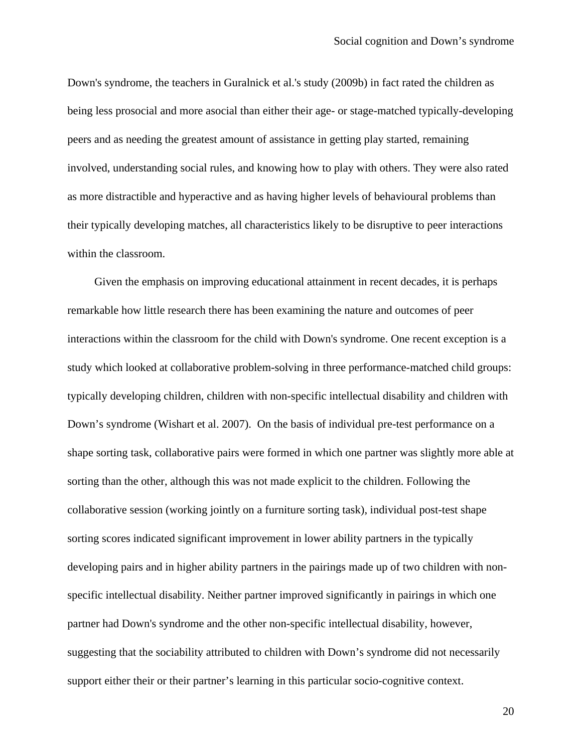Down's syndrome, the teachers in Guralnick et al.'s study (2009b) in fact rated the children as being less prosocial and more asocial than either their age- or stage-matched typically-developing peers and as needing the greatest amount of assistance in getting play started, remaining involved, understanding social rules, and knowing how to play with others. They were also rated as more distractible and hyperactive and as having higher levels of behavioural problems than their typically developing matches, all characteristics likely to be disruptive to peer interactions within the classroom.

Given the emphasis on improving educational attainment in recent decades, it is perhaps remarkable how little research there has been examining the nature and outcomes of peer interactions within the classroom for the child with Down's syndrome. One recent exception is a study which looked at collaborative problem-solving in three performance-matched child groups: typically developing children, children with non-specific intellectual disability and children with Down's syndrome (Wishart et al. 2007). On the basis of individual pre-test performance on a shape sorting task, collaborative pairs were formed in which one partner was slightly more able at sorting than the other, although this was not made explicit to the children. Following the collaborative session (working jointly on a furniture sorting task), individual post-test shape sorting scores indicated significant improvement in lower ability partners in the typically developing pairs and in higher ability partners in the pairings made up of two children with nonspecific intellectual disability. Neither partner improved significantly in pairings in which one partner had Down's syndrome and the other non-specific intellectual disability, however, suggesting that the sociability attributed to children with Down's syndrome did not necessarily support either their or their partner's learning in this particular socio-cognitive context.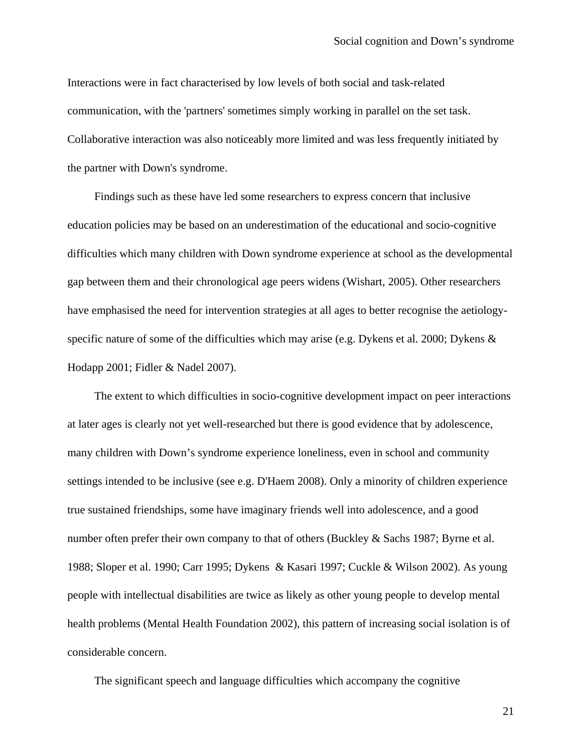Interactions were in fact characterised by low levels of both social and task-related communication, with the 'partners' sometimes simply working in parallel on the set task. Collaborative interaction was also noticeably more limited and was less frequently initiated by the partner with Down's syndrome.

Findings such as these have led some researchers to express concern that inclusive education policies may be based on an underestimation of the educational and socio-cognitive difficulties which many children with Down syndrome experience at school as the developmental gap between them and their chronological age peers widens (Wishart, 2005). Other researchers have emphasised the need for intervention strategies at all ages to better recognise the aetiologyspecific nature of some of the difficulties which may arise (e.g. Dykens et al. 2000; Dykens & Hodapp 2001; Fidler & Nadel 2007).

The extent to which difficulties in socio-cognitive development impact on peer interactions at later ages is clearly not yet well-researched but there is good evidence that by adolescence, many children with Down's syndrome experience loneliness, even in school and community settings intended to be inclusive (see e.g. D'Haem 2008). Only a minority of children experience true sustained friendships, some have imaginary friends well into adolescence, and a good number often prefer their own company to that of others (Buckley & Sachs 1987; Byrne et al. 1988; Sloper et al. 1990; Carr 1995; Dykens & Kasari 1997; Cuckle & Wilson 2002). As young people with intellectual disabilities are twice as likely as other young people to develop mental health problems (Mental Health Foundation 2002), this pattern of increasing social isolation is of considerable concern.

The significant speech and language difficulties which accompany the cognitive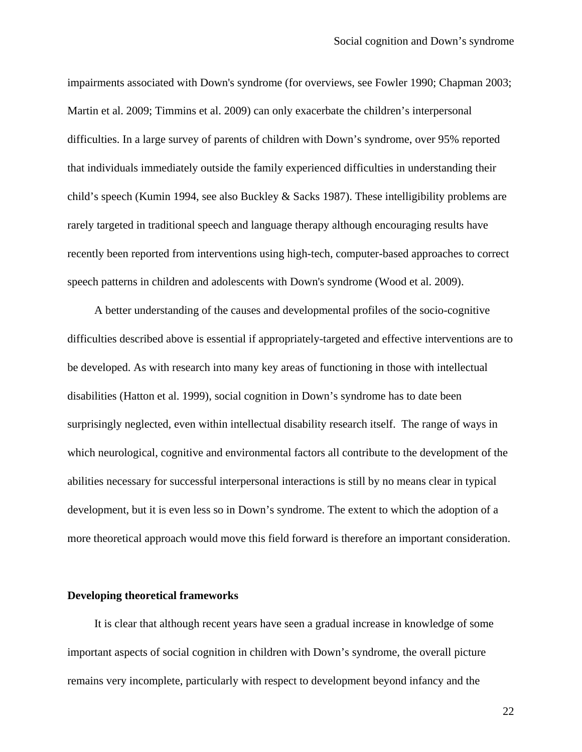impairments associated with Down's syndrome (for overviews, see Fowler 1990; Chapman 2003; Martin et al. 2009; Timmins et al. 2009) can only exacerbate the children's interpersonal difficulties. In a large survey of parents of children with Down's syndrome, over 95% reported that individuals immediately outside the family experienced difficulties in understanding their child's speech (Kumin 1994, see also Buckley & Sacks 1987). These intelligibility problems are rarely targeted in traditional speech and language therapy although encouraging results have recently been reported from interventions using high-tech, computer-based approaches to correct speech patterns in children and adolescents with Down's syndrome (Wood et al. 2009).

A better understanding of the causes and developmental profiles of the socio-cognitive difficulties described above is essential if appropriately-targeted and effective interventions are to be developed. As with research into many key areas of functioning in those with intellectual disabilities (Hatton et al. 1999), social cognition in Down's syndrome has to date been surprisingly neglected, even within intellectual disability research itself. The range of ways in which neurological, cognitive and environmental factors all contribute to the development of the abilities necessary for successful interpersonal interactions is still by no means clear in typical development, but it is even less so in Down's syndrome. The extent to which the adoption of a more theoretical approach would move this field forward is therefore an important consideration.

## **Developing theoretical frameworks**

It is clear that although recent years have seen a gradual increase in knowledge of some important aspects of social cognition in children with Down's syndrome, the overall picture remains very incomplete, particularly with respect to development beyond infancy and the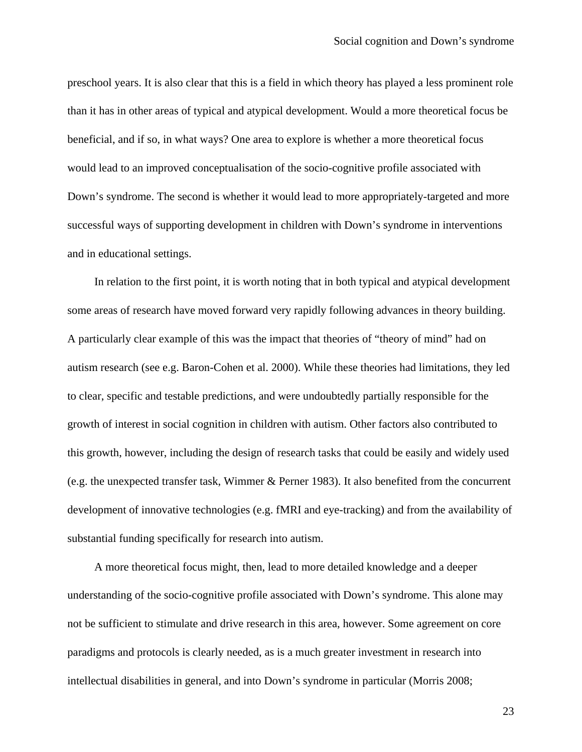preschool years. It is also clear that this is a field in which theory has played a less prominent role than it has in other areas of typical and atypical development. Would a more theoretical focus be beneficial, and if so, in what ways? One area to explore is whether a more theoretical focus would lead to an improved conceptualisation of the socio-cognitive profile associated with Down's syndrome. The second is whether it would lead to more appropriately-targeted and more successful ways of supporting development in children with Down's syndrome in interventions and in educational settings.

In relation to the first point, it is worth noting that in both typical and atypical development some areas of research have moved forward very rapidly following advances in theory building. A particularly clear example of this was the impact that theories of "theory of mind" had on autism research (see e.g. Baron-Cohen et al. 2000). While these theories had limitations, they led to clear, specific and testable predictions, and were undoubtedly partially responsible for the growth of interest in social cognition in children with autism. Other factors also contributed to this growth, however, including the design of research tasks that could be easily and widely used (e.g. the unexpected transfer task, Wimmer & Perner 1983). It also benefited from the concurrent development of innovative technologies (e.g. fMRI and eye-tracking) and from the availability of substantial funding specifically for research into autism.

A more theoretical focus might, then, lead to more detailed knowledge and a deeper understanding of the socio-cognitive profile associated with Down's syndrome. This alone may not be sufficient to stimulate and drive research in this area, however. Some agreement on core paradigms and protocols is clearly needed, as is a much greater investment in research into intellectual disabilities in general, and into Down's syndrome in particular (Morris 2008;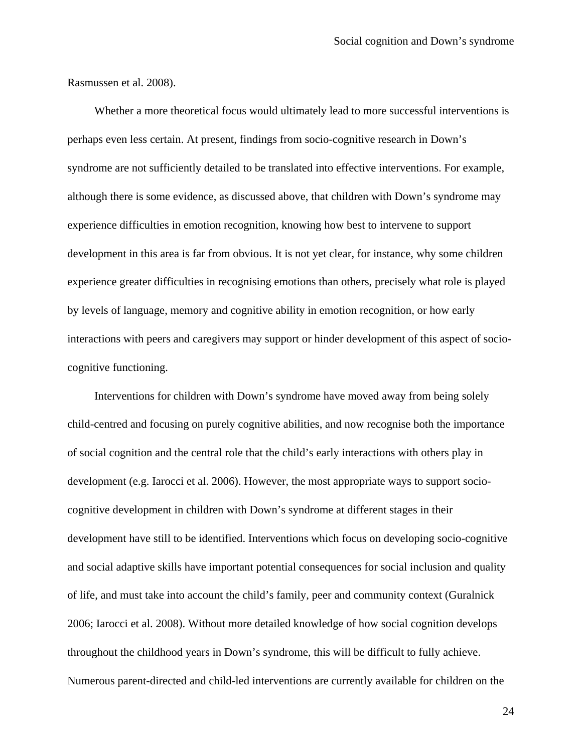Rasmussen et al. 2008).

Whether a more theoretical focus would ultimately lead to more successful interventions is perhaps even less certain. At present, findings from socio-cognitive research in Down's syndrome are not sufficiently detailed to be translated into effective interventions. For example, although there is some evidence, as discussed above, that children with Down's syndrome may experience difficulties in emotion recognition, knowing how best to intervene to support development in this area is far from obvious. It is not yet clear, for instance, why some children experience greater difficulties in recognising emotions than others, precisely what role is played by levels of language, memory and cognitive ability in emotion recognition, or how early interactions with peers and caregivers may support or hinder development of this aspect of sociocognitive functioning.

Interventions for children with Down's syndrome have moved away from being solely child-centred and focusing on purely cognitive abilities, and now recognise both the importance of social cognition and the central role that the child's early interactions with others play in development (e.g. Iarocci et al. 2006). However, the most appropriate ways to support sociocognitive development in children with Down's syndrome at different stages in their development have still to be identified. Interventions which focus on developing socio-cognitive and social adaptive skills have important potential consequences for social inclusion and quality of life, and must take into account the child's family, peer and community context (Guralnick 2006; Iarocci et al. 2008). Without more detailed knowledge of how social cognition develops throughout the childhood years in Down's syndrome, this will be difficult to fully achieve. Numerous parent-directed and child-led interventions are currently available for children on the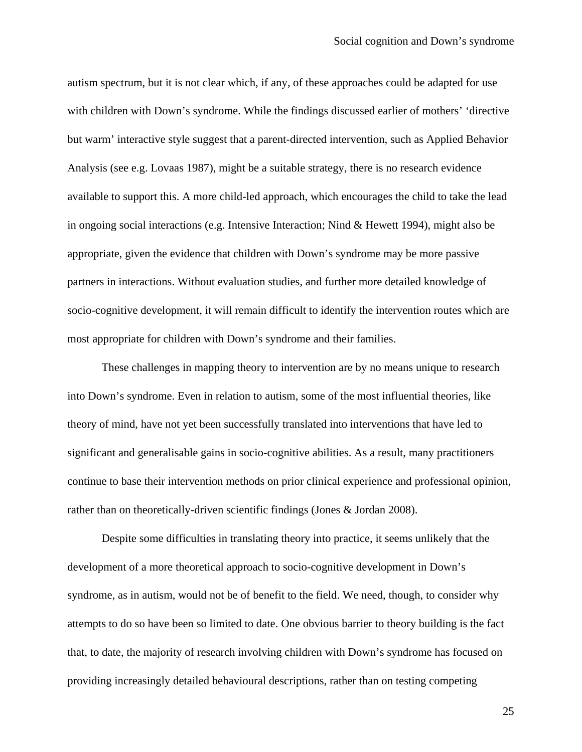autism spectrum, but it is not clear which, if any, of these approaches could be adapted for use with children with Down's syndrome. While the findings discussed earlier of mothers' 'directive but warm' interactive style suggest that a parent-directed intervention, such as Applied Behavior Analysis (see e.g. Lovaas 1987), might be a suitable strategy, there is no research evidence available to support this. A more child-led approach, which encourages the child to take the lead in ongoing social interactions (e.g. Intensive Interaction; Nind & Hewett 1994), might also be appropriate, given the evidence that children with Down's syndrome may be more passive partners in interactions. Without evaluation studies, and further more detailed knowledge of socio-cognitive development, it will remain difficult to identify the intervention routes which are most appropriate for children with Down's syndrome and their families.

These challenges in mapping theory to intervention are by no means unique to research into Down's syndrome. Even in relation to autism, some of the most influential theories, like theory of mind, have not yet been successfully translated into interventions that have led to significant and generalisable gains in socio-cognitive abilities. As a result, many practitioners continue to base their intervention methods on prior clinical experience and professional opinion, rather than on theoretically-driven scientific findings (Jones & Jordan 2008).

Despite some difficulties in translating theory into practice, it seems unlikely that the development of a more theoretical approach to socio-cognitive development in Down's syndrome, as in autism, would not be of benefit to the field. We need, though, to consider why attempts to do so have been so limited to date. One obvious barrier to theory building is the fact that, to date, the majority of research involving children with Down's syndrome has focused on providing increasingly detailed behavioural descriptions, rather than on testing competing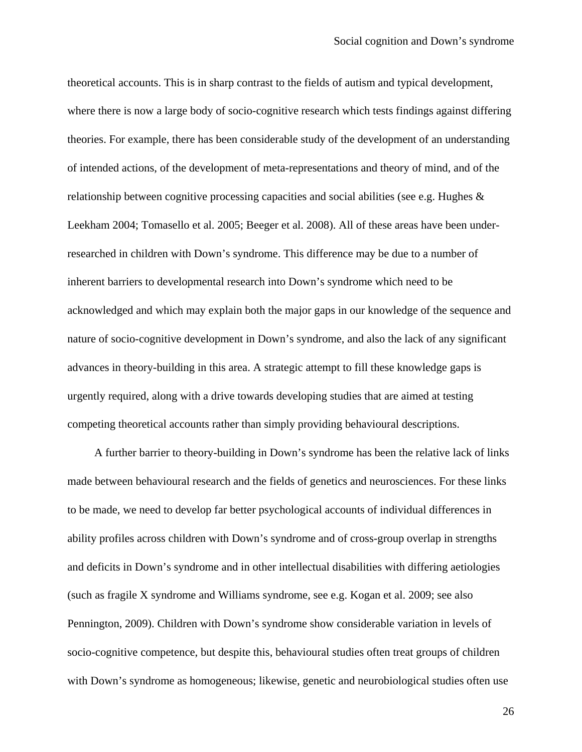theoretical accounts. This is in sharp contrast to the fields of autism and typical development, where there is now a large body of socio-cognitive research which tests findings against differing theories. For example, there has been considerable study of the development of an understanding of intended actions, of the development of meta-representations and theory of mind, and of the relationship between cognitive processing capacities and social abilities (see e.g. Hughes & Leekham 2004; Tomasello et al. 2005; Beeger et al. 2008). All of these areas have been underresearched in children with Down's syndrome. This difference may be due to a number of inherent barriers to developmental research into Down's syndrome which need to be acknowledged and which may explain both the major gaps in our knowledge of the sequence and nature of socio-cognitive development in Down's syndrome, and also the lack of any significant advances in theory-building in this area. A strategic attempt to fill these knowledge gaps is urgently required, along with a drive towards developing studies that are aimed at testing competing theoretical accounts rather than simply providing behavioural descriptions.

A further barrier to theory-building in Down's syndrome has been the relative lack of links made between behavioural research and the fields of genetics and neurosciences. For these links to be made, we need to develop far better psychological accounts of individual differences in ability profiles across children with Down's syndrome and of cross-group overlap in strengths and deficits in Down's syndrome and in other intellectual disabilities with differing aetiologies (such as fragile X syndrome and Williams syndrome, see e.g. Kogan et al. 2009; see also Pennington, 2009). Children with Down's syndrome show considerable variation in levels of socio-cognitive competence, but despite this, behavioural studies often treat groups of children with Down's syndrome as homogeneous; likewise, genetic and neurobiological studies often use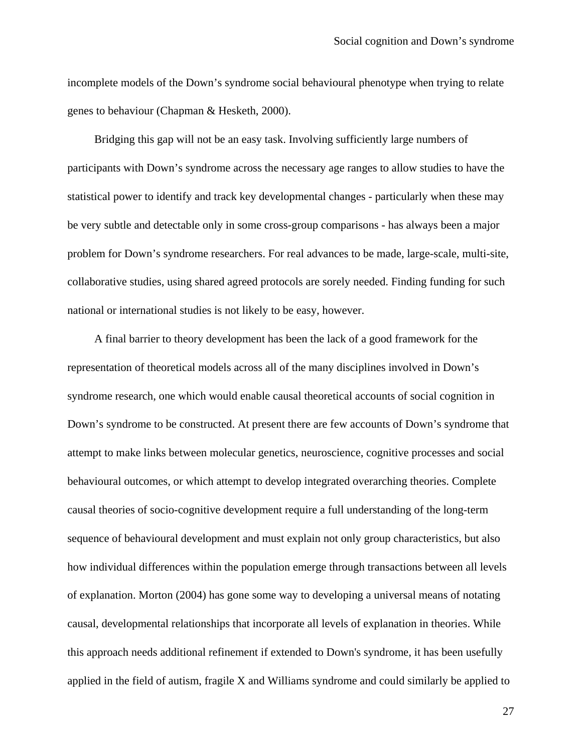incomplete models of the Down's syndrome social behavioural phenotype when trying to relate genes to behaviour (Chapman & Hesketh, 2000).

Bridging this gap will not be an easy task. Involving sufficiently large numbers of participants with Down's syndrome across the necessary age ranges to allow studies to have the statistical power to identify and track key developmental changes - particularly when these may be very subtle and detectable only in some cross-group comparisons - has always been a major problem for Down's syndrome researchers. For real advances to be made, large-scale, multi-site, collaborative studies, using shared agreed protocols are sorely needed. Finding funding for such national or international studies is not likely to be easy, however.

A final barrier to theory development has been the lack of a good framework for the representation of theoretical models across all of the many disciplines involved in Down's syndrome research, one which would enable causal theoretical accounts of social cognition in Down's syndrome to be constructed. At present there are few accounts of Down's syndrome that attempt to make links between molecular genetics, neuroscience, cognitive processes and social behavioural outcomes, or which attempt to develop integrated overarching theories. Complete causal theories of socio-cognitive development require a full understanding of the long-term sequence of behavioural development and must explain not only group characteristics, but also how individual differences within the population emerge through transactions between all levels of explanation. Morton (2004) has gone some way to developing a universal means of notating causal, developmental relationships that incorporate all levels of explanation in theories. While this approach needs additional refinement if extended to Down's syndrome, it has been usefully applied in the field of autism, fragile X and Williams syndrome and could similarly be applied to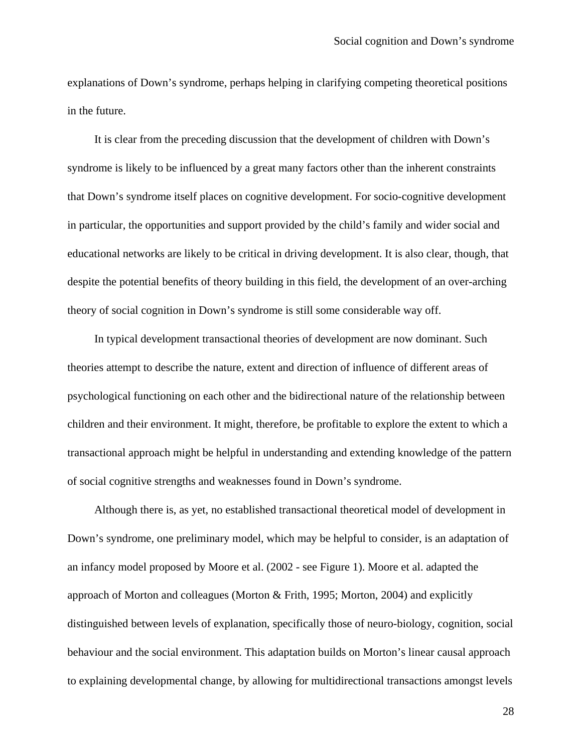explanations of Down's syndrome, perhaps helping in clarifying competing theoretical positions in the future.

It is clear from the preceding discussion that the development of children with Down's syndrome is likely to be influenced by a great many factors other than the inherent constraints that Down's syndrome itself places on cognitive development. For socio-cognitive development in particular, the opportunities and support provided by the child's family and wider social and educational networks are likely to be critical in driving development. It is also clear, though, that despite the potential benefits of theory building in this field, the development of an over-arching theory of social cognition in Down's syndrome is still some considerable way off.

In typical development transactional theories of development are now dominant. Such theories attempt to describe the nature, extent and direction of influence of different areas of psychological functioning on each other and the bidirectional nature of the relationship between children and their environment. It might, therefore, be profitable to explore the extent to which a transactional approach might be helpful in understanding and extending knowledge of the pattern of social cognitive strengths and weaknesses found in Down's syndrome.

Although there is, as yet, no established transactional theoretical model of development in Down's syndrome, one preliminary model, which may be helpful to consider, is an adaptation of an infancy model proposed by Moore et al. (2002 - see Figure 1). Moore et al. adapted the approach of Morton and colleagues (Morton & Frith, 1995; Morton, 2004) and explicitly distinguished between levels of explanation, specifically those of neuro-biology, cognition, social behaviour and the social environment. This adaptation builds on Morton's linear causal approach to explaining developmental change, by allowing for multidirectional transactions amongst levels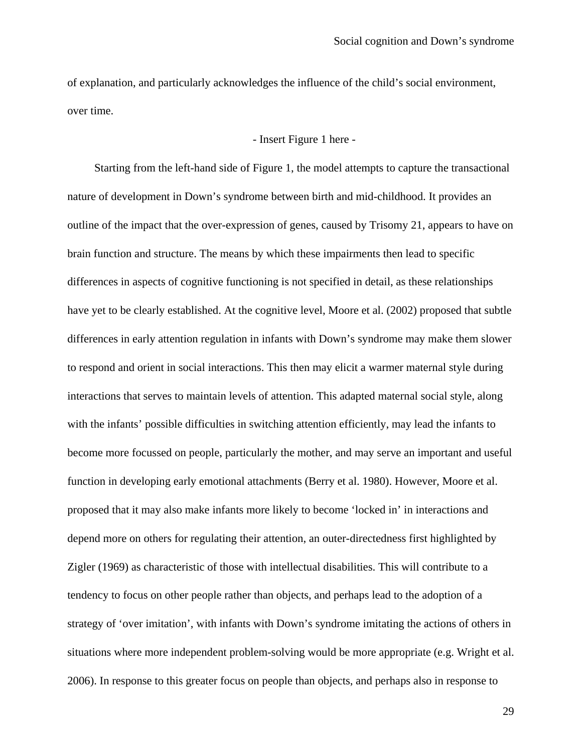of explanation, and particularly acknowledges the influence of the child's social environment, over time.

#### - Insert Figure 1 here -

Starting from the left-hand side of Figure 1, the model attempts to capture the transactional nature of development in Down's syndrome between birth and mid-childhood. It provides an outline of the impact that the over-expression of genes, caused by Trisomy 21, appears to have on brain function and structure. The means by which these impairments then lead to specific differences in aspects of cognitive functioning is not specified in detail, as these relationships have yet to be clearly established. At the cognitive level, Moore et al. (2002) proposed that subtle differences in early attention regulation in infants with Down's syndrome may make them slower to respond and orient in social interactions. This then may elicit a warmer maternal style during interactions that serves to maintain levels of attention. This adapted maternal social style, along with the infants' possible difficulties in switching attention efficiently, may lead the infants to become more focussed on people, particularly the mother, and may serve an important and useful function in developing early emotional attachments (Berry et al. 1980). However, Moore et al. proposed that it may also make infants more likely to become 'locked in' in interactions and depend more on others for regulating their attention, an outer-directedness first highlighted by Zigler (1969) as characteristic of those with intellectual disabilities. This will contribute to a tendency to focus on other people rather than objects, and perhaps lead to the adoption of a strategy of 'over imitation', with infants with Down's syndrome imitating the actions of others in situations where more independent problem-solving would be more appropriate (e.g. Wright et al. 2006). In response to this greater focus on people than objects, and perhaps also in response to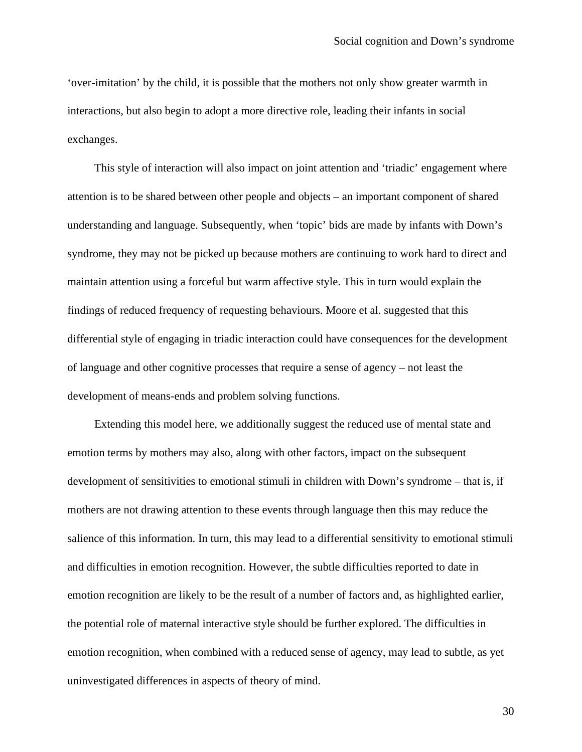'over-imitation' by the child, it is possible that the mothers not only show greater warmth in interactions, but also begin to adopt a more directive role, leading their infants in social exchanges.

This style of interaction will also impact on joint attention and 'triadic' engagement where attention is to be shared between other people and objects – an important component of shared understanding and language. Subsequently, when 'topic' bids are made by infants with Down's syndrome, they may not be picked up because mothers are continuing to work hard to direct and maintain attention using a forceful but warm affective style. This in turn would explain the findings of reduced frequency of requesting behaviours. Moore et al. suggested that this differential style of engaging in triadic interaction could have consequences for the development of language and other cognitive processes that require a sense of agency – not least the development of means-ends and problem solving functions.

Extending this model here, we additionally suggest the reduced use of mental state and emotion terms by mothers may also, along with other factors, impact on the subsequent development of sensitivities to emotional stimuli in children with Down's syndrome – that is, if mothers are not drawing attention to these events through language then this may reduce the salience of this information. In turn, this may lead to a differential sensitivity to emotional stimuli and difficulties in emotion recognition. However, the subtle difficulties reported to date in emotion recognition are likely to be the result of a number of factors and, as highlighted earlier, the potential role of maternal interactive style should be further explored. The difficulties in emotion recognition, when combined with a reduced sense of agency, may lead to subtle, as yet uninvestigated differences in aspects of theory of mind.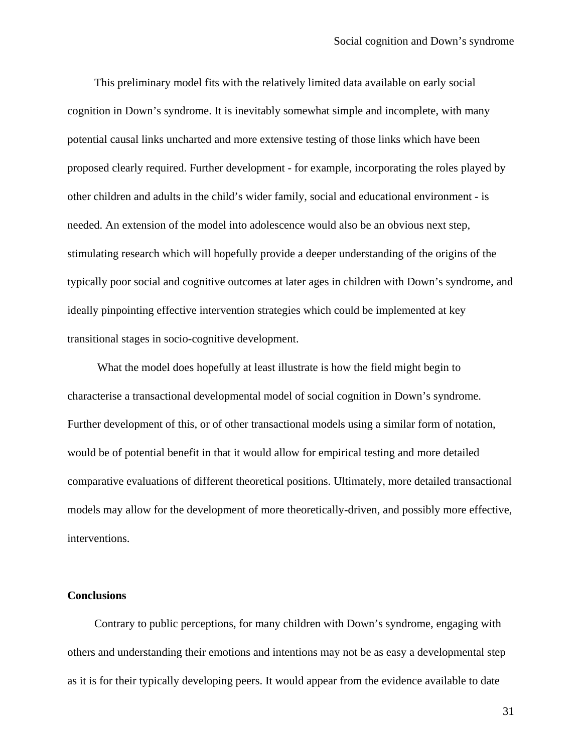This preliminary model fits with the relatively limited data available on early social cognition in Down's syndrome. It is inevitably somewhat simple and incomplete, with many potential causal links uncharted and more extensive testing of those links which have been proposed clearly required. Further development - for example, incorporating the roles played by other children and adults in the child's wider family, social and educational environment - is needed. An extension of the model into adolescence would also be an obvious next step, stimulating research which will hopefully provide a deeper understanding of the origins of the typically poor social and cognitive outcomes at later ages in children with Down's syndrome, and ideally pinpointing effective intervention strategies which could be implemented at key transitional stages in socio-cognitive development.

What the model does hopefully at least illustrate is how the field might begin to characterise a transactional developmental model of social cognition in Down's syndrome. Further development of this, or of other transactional models using a similar form of notation, would be of potential benefit in that it would allow for empirical testing and more detailed comparative evaluations of different theoretical positions. Ultimately, more detailed transactional models may allow for the development of more theoretically-driven, and possibly more effective, interventions.

## **Conclusions**

Contrary to public perceptions, for many children with Down's syndrome, engaging with others and understanding their emotions and intentions may not be as easy a developmental step as it is for their typically developing peers. It would appear from the evidence available to date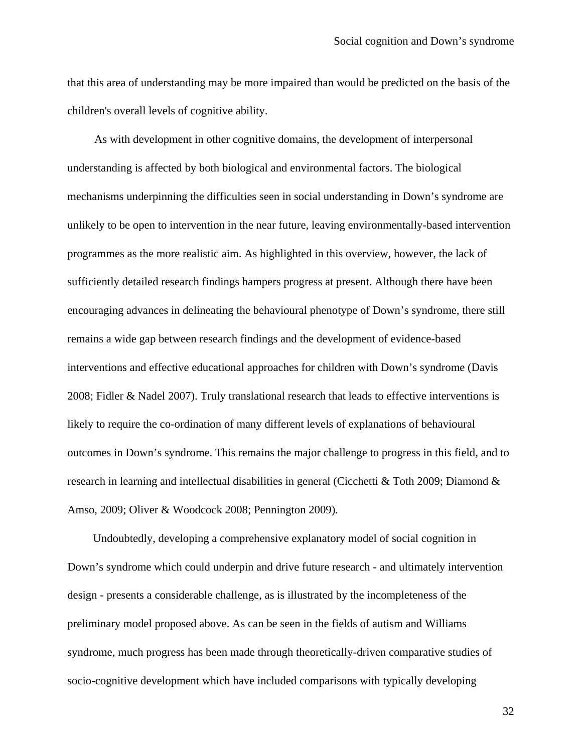that this area of understanding may be more impaired than would be predicted on the basis of the children's overall levels of cognitive ability.

As with development in other cognitive domains, the development of interpersonal understanding is affected by both biological and environmental factors. The biological mechanisms underpinning the difficulties seen in social understanding in Down's syndrome are unlikely to be open to intervention in the near future, leaving environmentally-based intervention programmes as the more realistic aim. As highlighted in this overview, however, the lack of sufficiently detailed research findings hampers progress at present. Although there have been encouraging advances in delineating the behavioural phenotype of Down's syndrome, there still remains a wide gap between research findings and the development of evidence-based interventions and effective educational approaches for children with Down's syndrome (Davis 2008; Fidler & Nadel 2007). Truly translational research that leads to effective interventions is likely to require the co-ordination of many different levels of explanations of behavioural outcomes in Down's syndrome. This remains the major challenge to progress in this field, and to research in learning and intellectual disabilities in general (Cicchetti & Toth 2009; Diamond & Amso, 2009; Oliver & Woodcock 2008; Pennington 2009).

Undoubtedly, developing a comprehensive explanatory model of social cognition in Down's syndrome which could underpin and drive future research - and ultimately intervention design - presents a considerable challenge, as is illustrated by the incompleteness of the preliminary model proposed above. As can be seen in the fields of autism and Williams syndrome, much progress has been made through theoretically-driven comparative studies of socio-cognitive development which have included comparisons with typically developing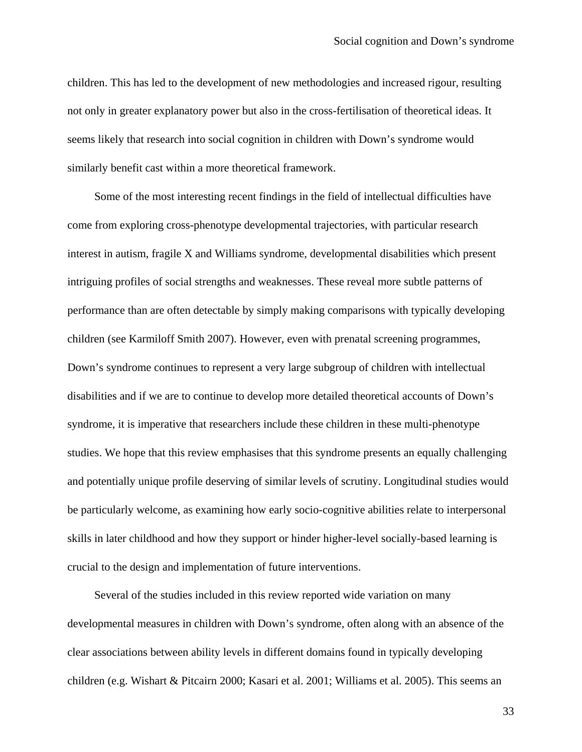children. This has led to the development of new methodologies and increased rigour, resulting not only in greater explanatory power but also in the cross-fertilisation of theoretical ideas. It seems likely that research into social cognition in children with Down's syndrome would similarly benefit cast within a more theoretical framework.

Some of the most interesting recent findings in the field of intellectual difficulties have come from exploring cross-phenotype developmental trajectories, with particular research interest in autism, fragile X and Williams syndrome, developmental disabilities which present intriguing profiles of social strengths and weaknesses. These reveal more subtle patterns of performance than are often detectable by simply making comparisons with typically developing children (see Karmiloff Smith 2007). However, even with prenatal screening programmes, Down's syndrome continues to represent a very large subgroup of children with intellectual disabilities and if we are to continue to develop more detailed theoretical accounts of Down's syndrome, it is imperative that researchers include these children in these multi-phenotype studies. We hope that this review emphasises that this syndrome presents an equally challenging and potentially unique profile deserving of similar levels of scrutiny. Longitudinal studies would be particularly welcome, as examining how early socio-cognitive abilities relate to interpersonal skills in later childhood and how they support or hinder higher-level socially-based learning is crucial to the design and implementation of future interventions.

Several of the studies included in this review reported wide variation on many developmental measures in children with Down's syndrome, often along with an absence of the clear associations between ability levels in different domains found in typically developing children (e.g. Wishart & Pitcairn 2000; Kasari et al. 2001; Williams et al. 2005). This seems an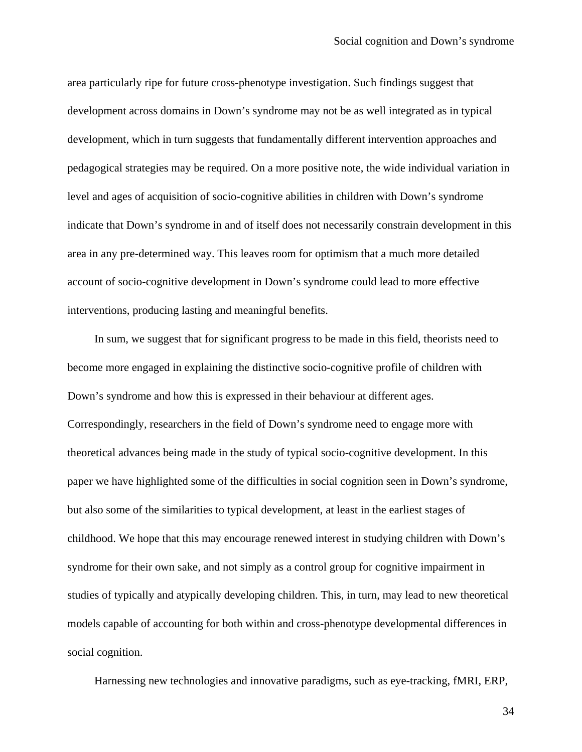area particularly ripe for future cross-phenotype investigation. Such findings suggest that development across domains in Down's syndrome may not be as well integrated as in typical development, which in turn suggests that fundamentally different intervention approaches and pedagogical strategies may be required. On a more positive note, the wide individual variation in level and ages of acquisition of socio-cognitive abilities in children with Down's syndrome indicate that Down's syndrome in and of itself does not necessarily constrain development in this area in any pre-determined way. This leaves room for optimism that a much more detailed account of socio-cognitive development in Down's syndrome could lead to more effective interventions, producing lasting and meaningful benefits.

In sum, we suggest that for significant progress to be made in this field, theorists need to become more engaged in explaining the distinctive socio-cognitive profile of children with Down's syndrome and how this is expressed in their behaviour at different ages. Correspondingly, researchers in the field of Down's syndrome need to engage more with theoretical advances being made in the study of typical socio-cognitive development. In this paper we have highlighted some of the difficulties in social cognition seen in Down's syndrome, but also some of the similarities to typical development, at least in the earliest stages of childhood. We hope that this may encourage renewed interest in studying children with Down's syndrome for their own sake, and not simply as a control group for cognitive impairment in studies of typically and atypically developing children. This, in turn, may lead to new theoretical models capable of accounting for both within and cross-phenotype developmental differences in social cognition.

Harnessing new technologies and innovative paradigms, such as eye-tracking, fMRI, ERP,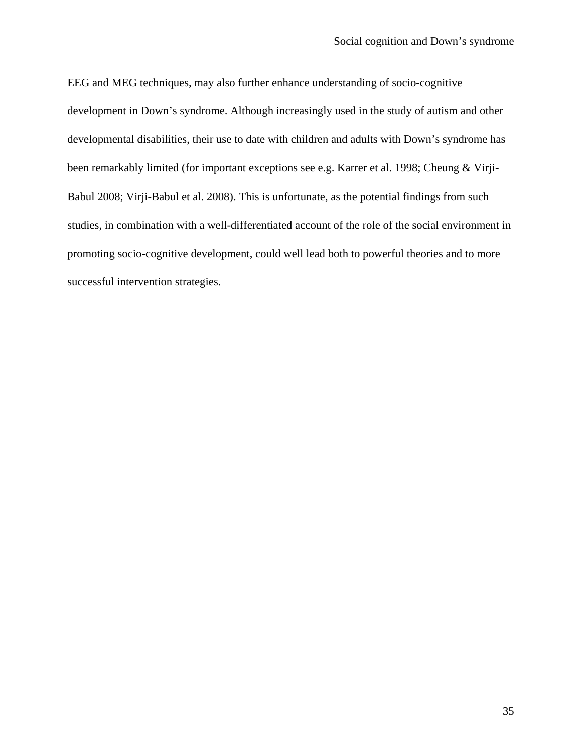EEG and MEG techniques, may also further enhance understanding of socio-cognitive development in Down's syndrome. Although increasingly used in the study of autism and other developmental disabilities, their use to date with children and adults with Down's syndrome has been remarkably limited (for important exceptions see e.g. Karrer et al. 1998; Cheung & Virji-Babul 2008; Virji-Babul et al. 2008). This is unfortunate, as the potential findings from such studies, in combination with a well-differentiated account of the role of the social environment in promoting socio-cognitive development, could well lead both to powerful theories and to more successful intervention strategies.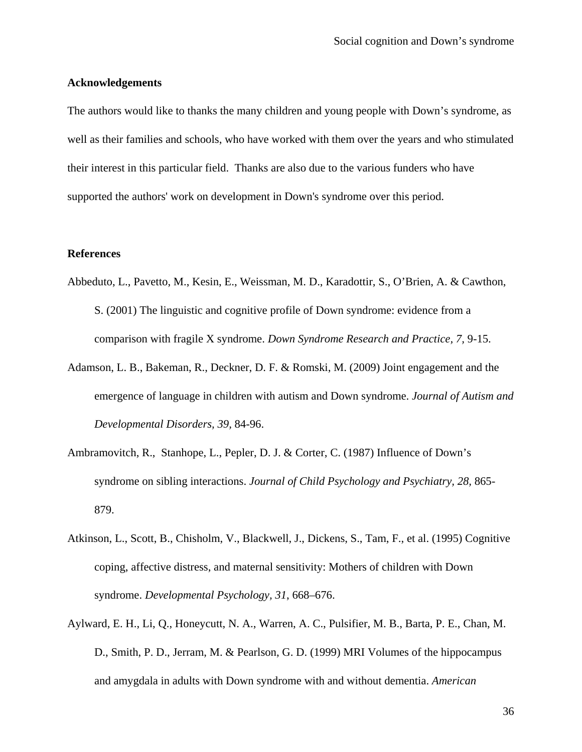#### **Acknowledgements**

The authors would like to thanks the many children and young people with Down's syndrome, as well as their families and schools, who have worked with them over the years and who stimulated their interest in this particular field. Thanks are also due to the various funders who have supported the authors' work on development in Down's syndrome over this period.

#### **References**

- Abbeduto, L., Pavetto, M., Kesin, E., Weissman, M. D., Karadottir, S., O'Brien, A. & Cawthon, S. (2001) The linguistic and cognitive profile of Down syndrome: evidence from a comparison with fragile X syndrome. *Down Syndrome Research and Practice, 7,* 9-15.
- Adamson, L. B., Bakeman, R., Deckner, D. F. & Romski, M. (2009) Joint engagement and the emergence of language in children with autism and Down syndrome. *Journal of Autism and Developmental Disorders, 39,* 84-96.
- Ambramovitch, R., Stanhope, L., Pepler, D. J. & Corter, C. (1987) Influence of Down's syndrome on sibling interactions. *Journal of Child Psychology and Psychiatry, 28,* 865- 879.
- Atkinson, L., Scott, B., Chisholm, V., Blackwell, J., Dickens, S., Tam, F., et al. (1995) Cognitive coping, affective distress, and maternal sensitivity: Mothers of children with Down syndrome. *Developmental Psychology, 31*, 668–676.
- Aylward, E. H., Li, Q., Honeycutt, N. A., Warren, A. C., Pulsifier, M. B., Barta, P. E., Chan, M. D., Smith, P. D., Jerram, M. & Pearlson, G. D. (1999) MRI Volumes of the hippocampus and amygdala in adults with Down syndrome with and without dementia. *American*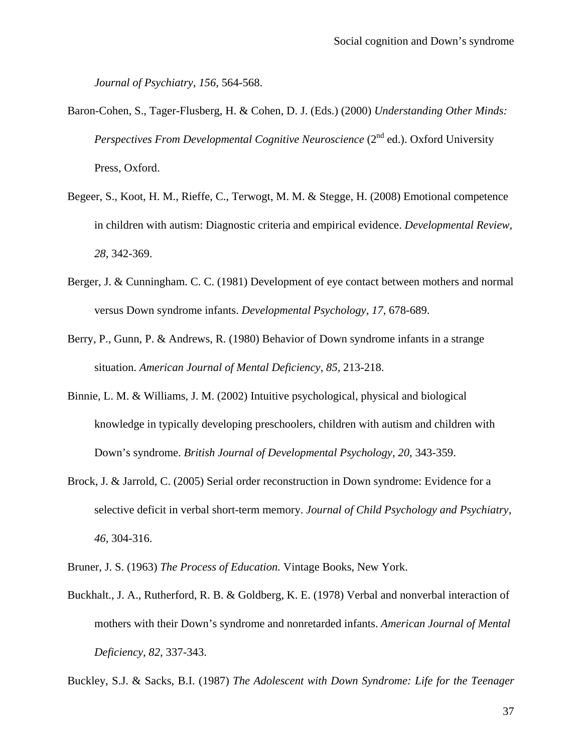*Journal of Psychiatry, 156,* 564-568.

- Baron-Cohen, S., Tager-Flusberg, H. & Cohen, D. J. (Eds.) (2000) *Understanding Other Minds: Perspectives From Developmental Cognitive Neuroscience* (2<sup>nd</sup> ed.). Oxford University Press, Oxford.
- Begeer, S., Koot, H. M., Rieffe, C., Terwogt, M. M. & Stegge, H. (2008) Emotional competence in children with autism: Diagnostic criteria and empirical evidence. *Developmental Review, 28*, 342-369.
- Berger, J. & Cunningham. C. C. (1981) Development of eye contact between mothers and normal versus Down syndrome infants. *Developmental Psychology, 17,* 678-689.
- Berry, P., Gunn, P. & Andrews, R. (1980) Behavior of Down syndrome infants in a strange situation. *American Journal of Mental Deficiency, 85,* 213-218.
- Binnie, L. M. & Williams, J. M. (2002) Intuitive psychological, physical and biological knowledge in typically developing preschoolers, children with autism and children with Down's syndrome. *British Journal of Developmental Psychology, 20,* 343-359.
- Brock, J. & Jarrold, C. (2005) Serial order reconstruction in Down syndrome: Evidence for a selective deficit in verbal short-term memory. *Journal of Child Psychology and Psychiatry, 46,* 304-316.
- Bruner, J. S. (1963) *The Process of Education.* Vintage Books, New York.
- Buckhalt., J. A., Rutherford, R. B. & Goldberg, K. E. (1978) Verbal and nonverbal interaction of mothers with their Down's syndrome and nonretarded infants. *American Journal of Mental Deficiency, 82,* 337-343.

Buckley, S.J. & Sacks, B.I. (1987) *The Adolescent with Down Syndrome: Life for the Teenager*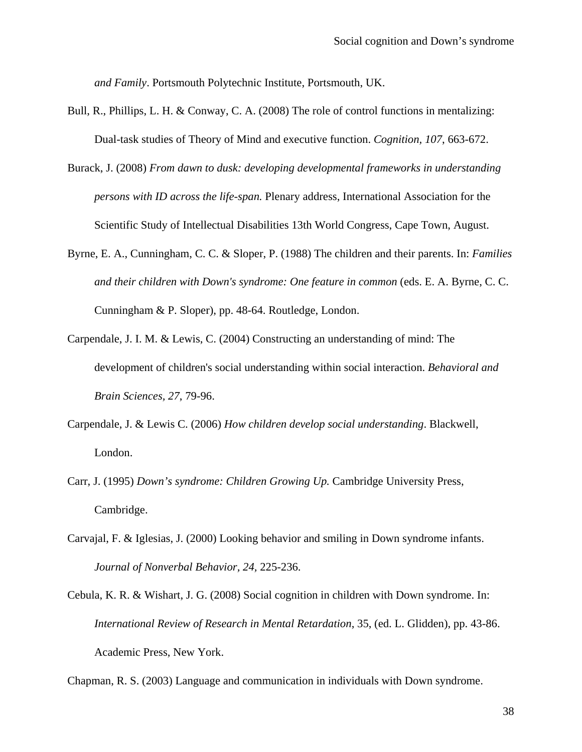*and Family*. Portsmouth Polytechnic Institute, Portsmouth, UK.

- Bull, R., Phillips, L. H. & Conway, C. A. (2008) The role of control functions in mentalizing: Dual-task studies of Theory of Mind and executive function. *Cognition, 107*, 663-672.
- Burack, J. (2008) *From dawn to dusk: developing developmental frameworks in understanding persons with ID across the life-span.* Plenary address, International Association for the Scientific Study of Intellectual Disabilities 13th World Congress, Cape Town, August.
- Byrne, E. A., Cunningham, C. C. & Sloper, P. (1988) The children and their parents. In: *Families and their children with Down's syndrome: One feature in common* (eds. E. A. Byrne, C. C. Cunningham & P. Sloper), pp. 48-64. Routledge, London.
- Carpendale, J. I. M. & Lewis, C. (2004) Constructing an understanding of mind: The development of children's social understanding within social interaction. *Behavioral and Brain Sciences, 27*, 79-96.
- Carpendale, J. & Lewis C. (2006) *How children develop social understanding*. Blackwell, London.
- Carr, J. (1995) *Down's syndrome: Children Growing Up.* Cambridge University Press, Cambridge.
- Carvajal, F. & Iglesias, J. (2000) Looking behavior and smiling in Down syndrome infants. *Journal of Nonverbal Behavior, 24,* 225-236.
- Cebula, K. R. & Wishart, J. G. (2008) Social cognition in children with Down syndrome. In: *International Review of Research in Mental Retardation*, 35, (ed. L. Glidden), pp. 43-86. Academic Press, New York.

Chapman, R. S. (2003) Language and communication in individuals with Down syndrome.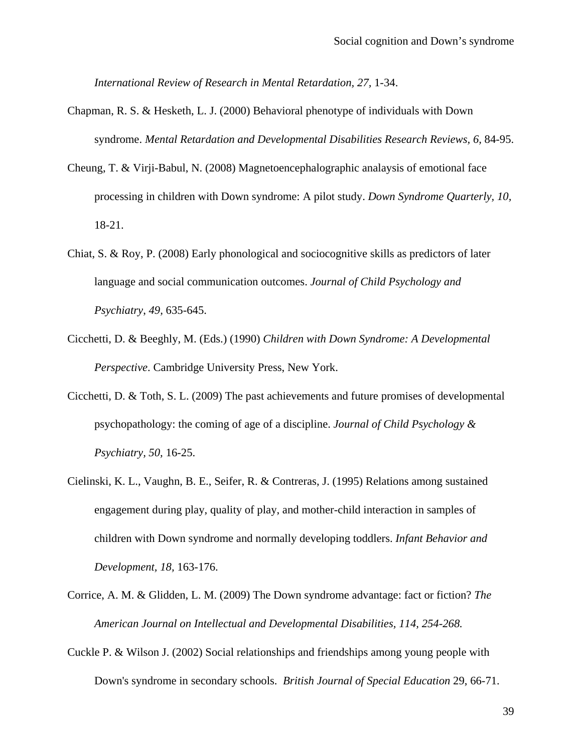*International Review of Research in Mental Retardation, 27,* 1-34.

- Chapman, R. S. & Hesketh, L. J. (2000) Behavioral phenotype of individuals with Down syndrome. *Mental Retardation and Developmental Disabilities Research Reviews, 6,* 84-95.
- Cheung, T. & Virji-Babul, N. (2008) Magnetoencephalographic analaysis of emotional face processing in children with Down syndrome: A pilot study. *Down Syndrome Quarterly, 10,*  18-21.
- Chiat, S. & Roy, P. (2008) Early phonological and sociocognitive skills as predictors of later language and social communication outcomes. *Journal of Child Psychology and Psychiatry*, *49,* 635-645.
- Cicchetti, D. & Beeghly, M. (Eds.) (1990) *Children with Down Syndrome: A Developmental Perspective*. Cambridge University Press, New York.
- Cicchetti, D. & Toth, S. L. (2009) The past achievements and future promises of developmental psychopathology: the coming of age of a discipline. *Journal of Child Psychology & Psychiatry, 50,* 16-25.
- Cielinski, K. L., Vaughn, B. E., Seifer, R. & Contreras, J. (1995) Relations among sustained engagement during play, quality of play, and mother-child interaction in samples of children with Down syndrome and normally developing toddlers. *Infant Behavior and Development, 18,* 163-176.
- Corrice, A. M. & Glidden, L. M. (2009) The Down syndrome advantage: fact or fiction? *The American Journal on Intellectual and Developmental Disabilities, 114, 254-268.*
- Cuckle P. & Wilson J. (2002) Social relationships and friendships among young people with Down's syndrome in secondary schools. *British Journal of Special Education* 29, 66-71.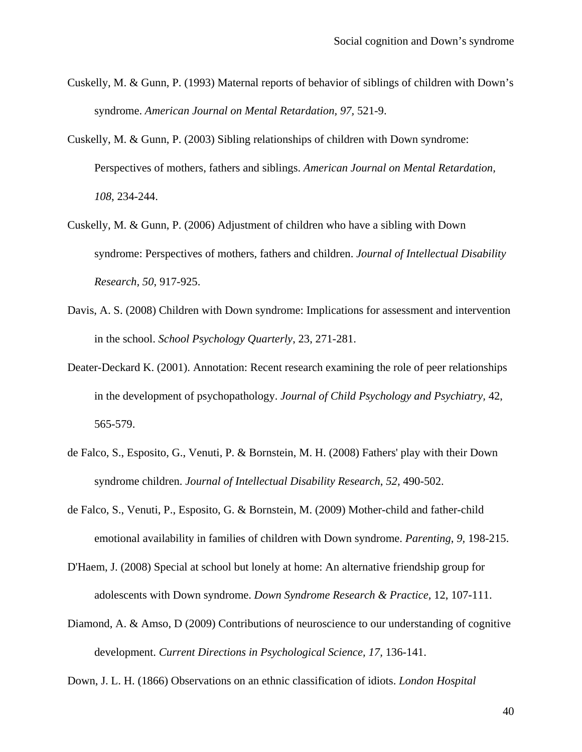- Cuskelly, M. & Gunn, P. (1993) Maternal reports of behavior of siblings of children with Down's syndrome. *American Journal on Mental Retardation, 97,* 521-9.
- Cuskelly, M. & Gunn, P. (2003) Sibling relationships of children with Down syndrome: Perspectives of mothers, fathers and siblings. *American Journal on Mental Retardation, 108*, 234-244.
- Cuskelly, M. & Gunn, P. (2006) Adjustment of children who have a sibling with Down syndrome: Perspectives of mothers, fathers and children. *Journal of Intellectual Disability Research, 50*, 917-925.
- Davis, A. S. (2008) Children with Down syndrome: Implications for assessment and intervention in the school. *School Psychology Quarterly*, 23, 271-281.
- Deater-Deckard K. (2001). Annotation: Recent research examining the role of peer relationships in the development of psychopathology. *Journal of Child Psychology and Psychiatry,* 42, 565-579.
- de Falco, S., Esposito, G., Venuti, P. & Bornstein, M. H. (2008) Fathers' play with their Down syndrome children. *Journal of Intellectual Disability Research*, *52,* 490-502.
- de Falco, S., Venuti, P., Esposito, G. & Bornstein, M. (2009) Mother-child and father-child emotional availability in families of children with Down syndrome. *Parenting*, *9,* 198-215.
- D'Haem, J. (2008) Special at school but lonely at home: An alternative friendship group for adolescents with Down syndrome. *Down Syndrome Research & Practice,* 12, 107-111.
- Diamond, A. & Amso, D (2009) Contributions of neuroscience to our understanding of cognitive development. *Current Directions in Psychological Science, 17,* 136-141.

Down, J. L. H. (1866) Observations on an ethnic classification of idiots. *London Hospital*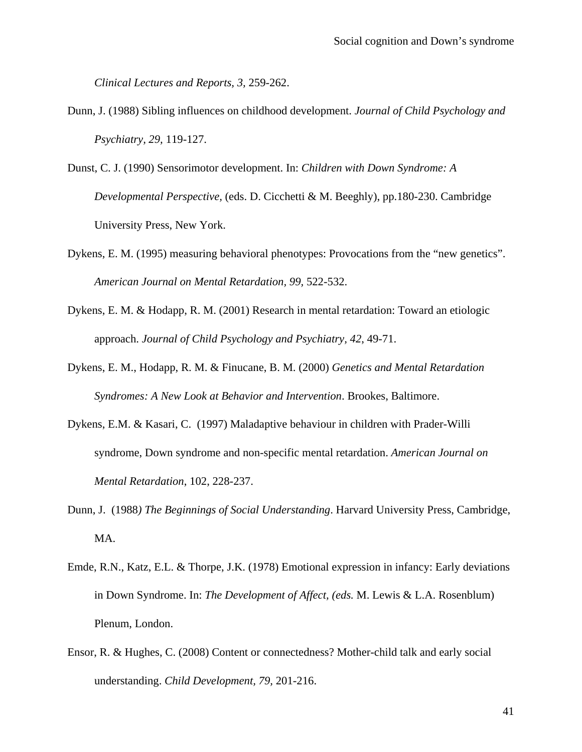*Clinical Lectures and Reports, 3,* 259-262.

- Dunn, J. (1988) Sibling influences on childhood development. *Journal of Child Psychology and Psychiatry, 29,* 119-127.
- Dunst, C. J. (1990) Sensorimotor development. In: *Children with Down Syndrome: A Developmental Perspective,* (eds. D. Cicchetti & M. Beeghly), pp.180-230. Cambridge University Press, New York.
- Dykens, E. M. (1995) measuring behavioral phenotypes: Provocations from the "new genetics". *American Journal on Mental Retardation, 99,* 522-532.
- Dykens, E. M. & Hodapp, R. M. (2001) Research in mental retardation: Toward an etiologic approach. *Journal of Child Psychology and Psychiatry, 42*, 49-71.
- Dykens, E. M., Hodapp, R. M. & Finucane, B. M. (2000) *Genetics and Mental Retardation Syndromes: A New Look at Behavior and Intervention*. Brookes, Baltimore.
- Dykens, E.M. & Kasari, C. (1997) Maladaptive behaviour in children with Prader-Willi syndrome, Down syndrome and non-specific mental retardation. *American Journal on Mental Retardation*, 102, 228-237.
- Dunn, J. (1988*) The Beginnings of Social Understanding*. Harvard University Press, Cambridge, MA.
- Emde, R.N., Katz, E.L. & Thorpe, J.K. (1978) Emotional expression in infancy: Early deviations in Down Syndrome. In: *The Development of Affect, (eds.* M. Lewis & L.A. Rosenblum) Plenum, London.
- Ensor, R. & Hughes, C. (2008) Content or connectedness? Mother-child talk and early social understanding. *Child Development, 79,* 201-216.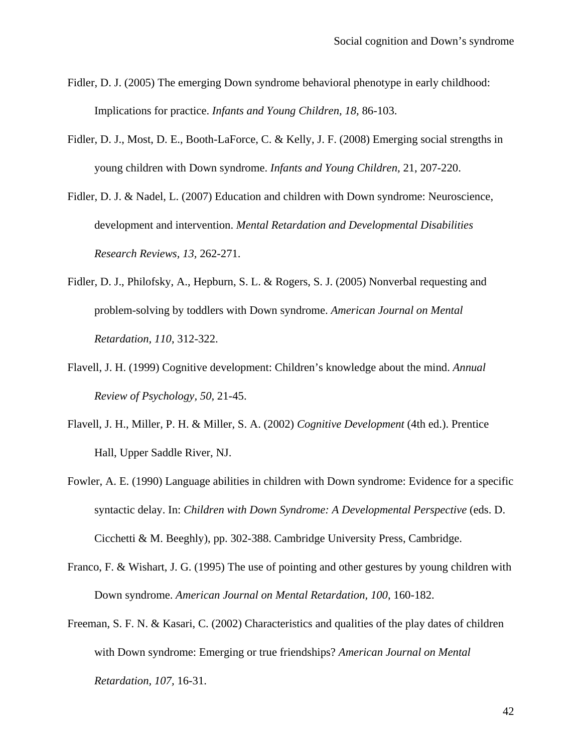- Fidler, D. J. (2005) The emerging Down syndrome behavioral phenotype in early childhood: Implications for practice. *Infants and Young Children, 18,* 86-103.
- Fidler, D. J., Most, D. E., Booth-LaForce, C. & Kelly, J. F. (2008) Emerging social strengths in young children with Down syndrome. *Infants and Young Children,* 21, 207-220.
- Fidler, D. J. & Nadel, L. (2007) Education and children with Down syndrome: Neuroscience, development and intervention. *Mental Retardation and Developmental Disabilities Research Reviews, 13,* 262-271.
- Fidler, D. J., Philofsky, A., Hepburn, S. L. & Rogers, S. J. (2005) Nonverbal requesting and problem-solving by toddlers with Down syndrome. *American Journal on Mental Retardation, 110*, 312-322.
- Flavell, J. H. (1999) Cognitive development: Children's knowledge about the mind. *Annual Review of Psychology, 50,* 21-45.
- Flavell, J. H., Miller, P. H. & Miller, S. A. (2002) *Cognitive Development* (4th ed.). Prentice Hall, Upper Saddle River, NJ.
- Fowler, A. E. (1990) Language abilities in children with Down syndrome: Evidence for a specific syntactic delay. In: *Children with Down Syndrome: A Developmental Perspective* (eds. D. Cicchetti & M. Beeghly), pp. 302-388. Cambridge University Press, Cambridge.
- Franco, F. & Wishart, J. G. (1995) The use of pointing and other gestures by young children with Down syndrome. *American Journal on Mental Retardation, 100*, 160-182.
- Freeman, S. F. N. & Kasari, C. (2002) Characteristics and qualities of the play dates of children with Down syndrome: Emerging or true friendships? *American Journal on Mental Retardation, 107,* 16-31.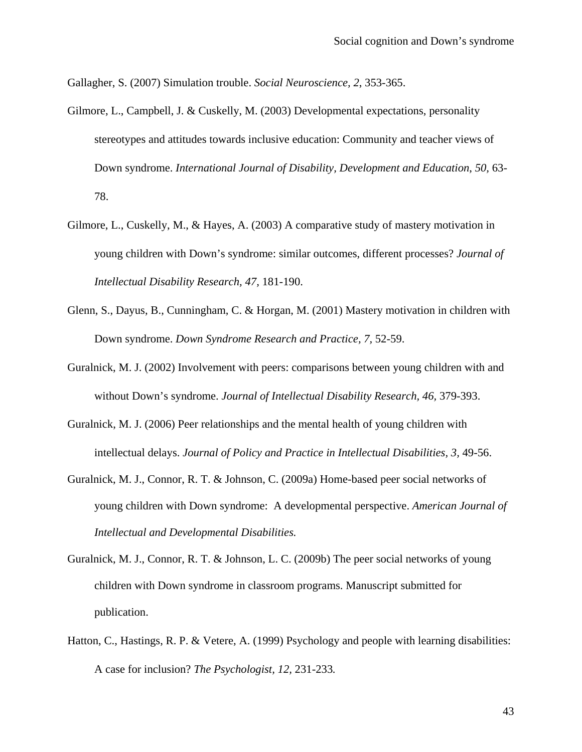Gallagher, S. (2007) Simulation trouble. *Social Neuroscience, 2*, 353-365.

- Gilmore, L., Campbell, J. & Cuskelly, M. (2003) Developmental expectations, personality stereotypes and attitudes towards inclusive education: Community and teacher views of Down syndrome. *International Journal of Disability, Development and Education*, *50,* 63- 78.
- Gilmore, L., Cuskelly, M., & Hayes, A. (2003) A comparative study of mastery motivation in young children with Down's syndrome: similar outcomes, different processes? *Journal of Intellectual Disability Research, 47,* 181-190.
- Glenn, S., Dayus, B., Cunningham, C. & Horgan, M. (2001) Mastery motivation in children with Down syndrome. *Down Syndrome Research and Practice, 7,* 52-59.
- Guralnick, M. J. (2002) Involvement with peers: comparisons between young children with and without Down's syndrome. *Journal of Intellectual Disability Research, 46,* 379-393.
- Guralnick, M. J. (2006) Peer relationships and the mental health of young children with intellectual delays. *Journal of Policy and Practice in Intellectual Disabilities, 3,* 49-56.
- Guralnick, M. J., Connor, R. T. & Johnson, C. (2009a) Home-based peer social networks of young children with Down syndrome: A developmental perspective. *American Journal of Intellectual and Developmental Disabilities.*
- Guralnick, M. J., Connor, R. T. & Johnson, L. C. (2009b) The peer social networks of young children with Down syndrome in classroom programs. Manuscript submitted for publication.
- Hatton, C., Hastings, R. P. & Vetere, A. (1999) Psychology and people with learning disabilities: A case for inclusion? *The Psychologist, 12,* 231-233*.*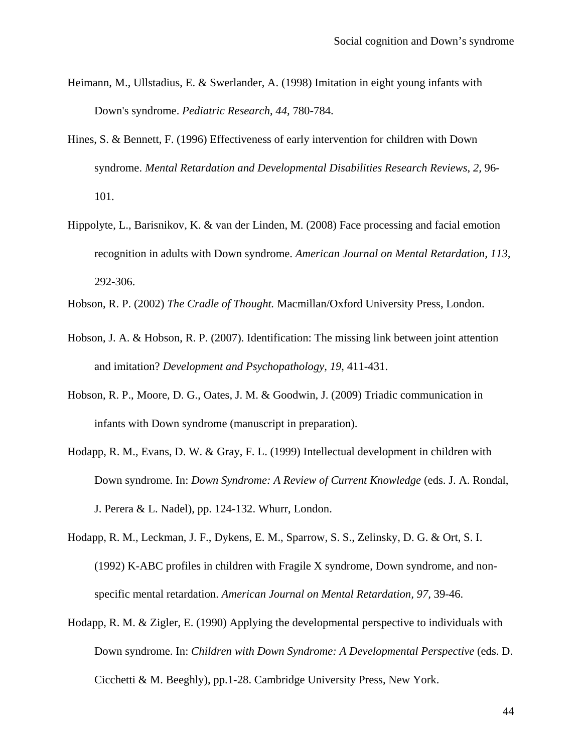- Heimann, M., Ullstadius, E. & Swerlander, A. (1998) Imitation in eight young infants with Down's syndrome. *Pediatric Research*, *44,* 780-784.
- Hines, S. & Bennett, F. (1996) Effectiveness of early intervention for children with Down syndrome. *Mental Retardation and Developmental Disabilities Research Reviews*, *2,* 96- 101.
- Hippolyte, L., Barisnikov, K. & van der Linden, M. (2008) Face processing and facial emotion recognition in adults with Down syndrome. *American Journal on Mental Retardation, 113,* 292-306.
- Hobson, R. P. (2002) *The Cradle of Thought.* Macmillan/Oxford University Press, London.
- Hobson, J. A. & Hobson, R. P. (2007). Identification: The missing link between joint attention and imitation? *Development and Psychopathology, 19*, 411-431.
- Hobson, R. P., Moore, D. G., Oates, J. M. & Goodwin, J. (2009) Triadic communication in infants with Down syndrome (manuscript in preparation).
- Hodapp, R. M., Evans, D. W. & Gray, F. L. (1999) Intellectual development in children with Down syndrome. In: *Down Syndrome: A Review of Current Knowledge* (eds. J. A. Rondal, J. Perera & L. Nadel), pp. 124-132. Whurr, London.
- Hodapp, R. M., Leckman, J. F., Dykens, E. M., Sparrow, S. S., Zelinsky, D. G. & Ort, S. I. (1992) K-ABC profiles in children with Fragile X syndrome, Down syndrome, and nonspecific mental retardation. *American Journal on Mental Retardation, 97,* 39-46.
- Hodapp, R. M. & Zigler, E. (1990) Applying the developmental perspective to individuals with Down syndrome. In: *Children with Down Syndrome: A Developmental Perspective* (eds. D. Cicchetti & M. Beeghly), pp.1-28. Cambridge University Press, New York.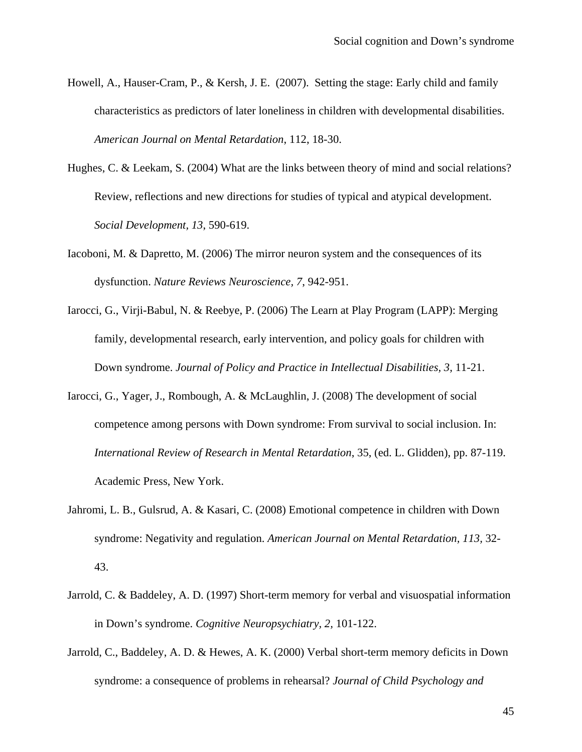- Howell, A., Hauser-Cram, P., & Kersh, J. E. (2007). Setting the stage: Early child and family characteristics as predictors of later loneliness in children with developmental disabilities. *American Journal on Mental Retardation*, 112, 18-30.
- Hughes, C. & Leekam, S. (2004) What are the links between theory of mind and social relations? Review, reflections and new directions for studies of typical and atypical development. *Social Development, 13*, 590-619.
- Iacoboni, M. & Dapretto, M. (2006) The mirror neuron system and the consequences of its dysfunction. *Nature Reviews Neuroscience, 7*, 942-951.
- Iarocci, G., Virji-Babul, N. & Reebye, P. (2006) The Learn at Play Program (LAPP): Merging family, developmental research, early intervention, and policy goals for children with Down syndrome. *Journal of Policy and Practice in Intellectual Disabilities, 3,* 11-21.
- Iarocci, G., Yager, J., Rombough, A. & McLaughlin, J. (2008) The development of social competence among persons with Down syndrome: From survival to social inclusion. In: *International Review of Research in Mental Retardation*, 35, (ed. L. Glidden), pp. 87-119. Academic Press, New York.
- Jahromi, L. B., Gulsrud, A. & Kasari, C. (2008) Emotional competence in children with Down syndrome: Negativity and regulation. *American Journal on Mental Retardation, 113,* 32- 43.
- Jarrold, C. & Baddeley, A. D. (1997) Short-term memory for verbal and visuospatial information in Down's syndrome. *Cognitive Neuropsychiatry, 2,* 101-122.
- Jarrold, C., Baddeley, A. D. & Hewes, A. K. (2000) Verbal short-term memory deficits in Down syndrome: a consequence of problems in rehearsal? *Journal of Child Psychology and*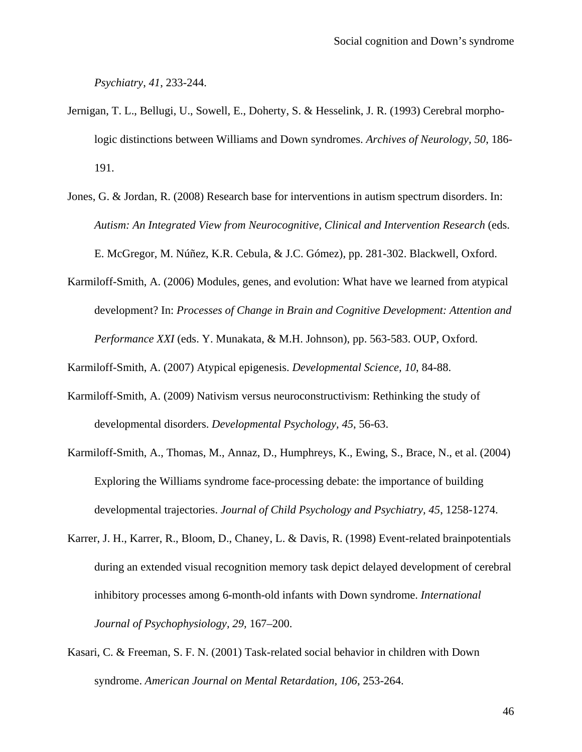*Psychiatry*, *41*, 233-244.

- Jernigan, T. L., Bellugi, U., Sowell, E., Doherty, S. & Hesselink, J. R. (1993) Cerebral morphologic distinctions between Williams and Down syndromes. *Archives of Neurology, 50*, 186- 191.
- Jones, G. & Jordan, R. (2008) Research base for interventions in autism spectrum disorders. In: *Autism: An Integrated View from Neurocognitive, Clinical and Intervention Research* (eds. E. McGregor, M. Núñez, K.R. Cebula, & J.C. Gómez), pp. 281-302. Blackwell, Oxford.
- Karmiloff-Smith, A. (2006) Modules, genes, and evolution: What have we learned from atypical development? In: *Processes of Change in Brain and Cognitive Development: Attention and Performance XXI* (eds. Y. Munakata, & M.H. Johnson), pp. 563-583. OUP, Oxford.

Karmiloff-Smith, A. (2007) Atypical epigenesis. *Developmental Science, 10*, 84-88.

- Karmiloff-Smith, A. (2009) Nativism versus neuroconstructivism: Rethinking the study of developmental disorders. *Developmental Psychology, 45*, 56-63.
- Karmiloff-Smith, A., Thomas, M., Annaz, D., Humphreys, K., Ewing, S., Brace, N., et al. (2004) Exploring the Williams syndrome face-processing debate: the importance of building developmental trajectories. *Journal of Child Psychology and Psychiatry, 45*, 1258-1274.
- Karrer, J. H., Karrer, R., Bloom, D., Chaney, L. & Davis, R. (1998) Event-related brainpotentials during an extended visual recognition memory task depict delayed development of cerebral inhibitory processes among 6-month-old infants with Down syndrome. *International Journal of Psychophysiology, 29,* 167–200.
- Kasari, C. & Freeman, S. F. N. (2001) Task-related social behavior in children with Down syndrome. *American Journal on Mental Retardation, 106*, 253-264.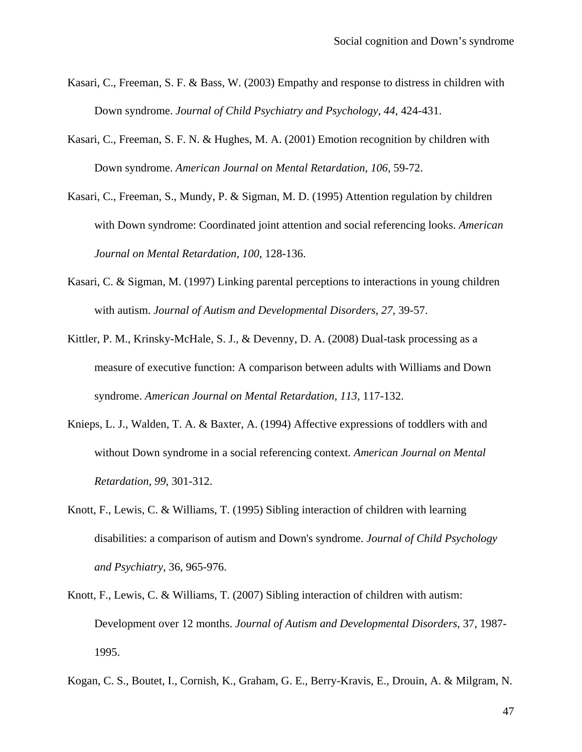- Kasari, C., Freeman, S. F. & Bass, W. (2003) Empathy and response to distress in children with Down syndrome. *Journal of Child Psychiatry and Psychology, 44*, 424-431.
- Kasari, C., Freeman, S. F. N. & Hughes, M. A. (2001) Emotion recognition by children with Down syndrome. *American Journal on Mental Retardation, 106,* 59-72.
- Kasari, C., Freeman, S., Mundy, P. & Sigman, M. D. (1995) Attention regulation by children with Down syndrome: Coordinated joint attention and social referencing looks. *American Journal on Mental Retardation*, *100*, 128-136.
- Kasari, C. & Sigman, M. (1997) Linking parental perceptions to interactions in young children with autism. *Journal of Autism and Developmental Disorders, 27,* 39-57.
- Kittler, P. M., Krinsky-McHale, S. J., & Devenny, D. A. (2008) Dual-task processing as a measure of executive function: A comparison between adults with Williams and Down syndrome. *American Journal on Mental Retardation, 113,* 117-132.
- Knieps, L. J., Walden, T. A. & Baxter, A. (1994) Affective expressions of toddlers with and without Down syndrome in a social referencing context. *American Journal on Mental Retardation, 99*, 301-312.
- Knott, F., Lewis, C. & Williams, T. (1995) Sibling interaction of children with learning disabilities: a comparison of autism and Down's syndrome. *Journal of Child Psychology and Psychiatry*, 36, 965-976.
- Knott, F., Lewis, C. & Williams, T. (2007) Sibling interaction of children with autism: Development over 12 months. *Journal of Autism and Developmental Disorders*, 37, 1987- 1995.
- Kogan, C. S., Boutet, I., Cornish, K., Graham, G. E., Berry-Kravis, E., Drouin, A. & Milgram, N.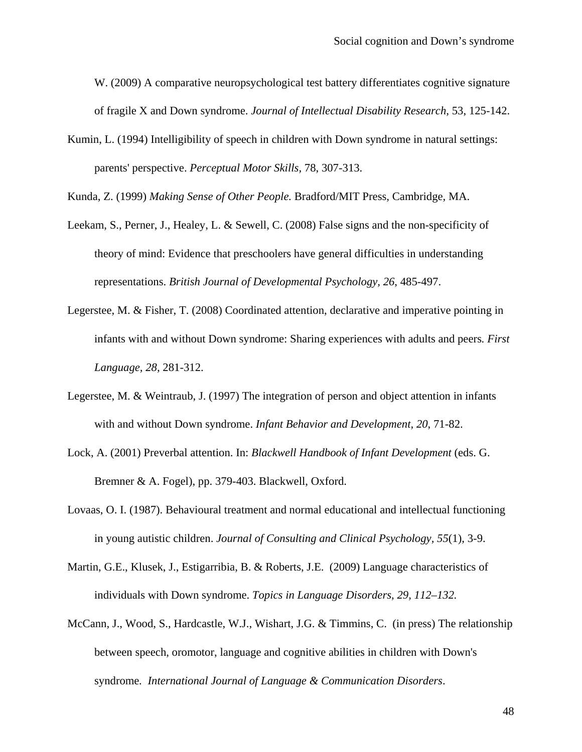W. (2009) A comparative neuropsychological test battery differentiates cognitive signature of fragile X and Down syndrome. *Journal of Intellectual Disability Research,* 53, 125-142.

Kumin, L. (1994) Intelligibility of speech in children with Down syndrome in natural settings: parents' perspective. *Perceptual Motor Skills,* 78, 307-313.

Kunda, Z. (1999) *Making Sense of Other People.* Bradford/MIT Press, Cambridge, MA.

- Leekam, S., Perner, J., Healey, L. & Sewell, C. (2008) False signs and the non-specificity of theory of mind: Evidence that preschoolers have general difficulties in understanding representations. *British Journal of Developmental Psychology, 26*, 485-497.
- Legerstee, M. & Fisher, T. (2008) Coordinated attention, declarative and imperative pointing in infants with and without Down syndrome: Sharing experiences with adults and peers*. First Language, 28,* 281-312.
- Legerstee, M. & Weintraub, J. (1997) The integration of person and object attention in infants with and without Down syndrome. *Infant Behavior and Development, 20*, 71-82.
- Lock, A. (2001) Preverbal attention. In: *Blackwell Handbook of Infant Development* (eds. G. Bremner & A. Fogel), pp. 379-403. Blackwell, Oxford.
- Lovaas, O. I. (1987). Behavioural treatment and normal educational and intellectual functioning in young autistic children. *Journal of Consulting and Clinical Psychology, 55*(1), 3-9.
- Martin, G.E., Klusek, J., Estigarribia, B. & Roberts, J.E. (2009) Language characteristics of individuals with Down syndrome. *Topics in Language Disorders, 29, 112–132.*
- McCann, J., Wood, S., Hardcastle, W.J., Wishart, J.G. & Timmins, C. (in press) The relationship between speech, oromotor, language and cognitive abilities in children with Down's syndrome*. International Journal of Language & Communication Disorders*.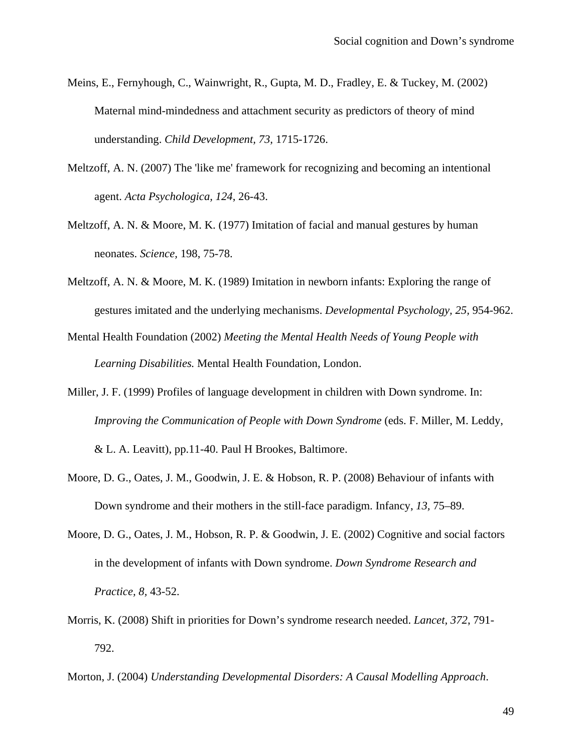- Meins, E., Fernyhough, C., Wainwright, R., Gupta, M. D., Fradley, E. & Tuckey, M. (2002) Maternal mind-mindedness and attachment security as predictors of theory of mind understanding. *Child Development, 73,* 1715-1726.
- Meltzoff, A. N. (2007) The 'like me' framework for recognizing and becoming an intentional agent. *Acta Psychologica, 124*, 26-43.
- Meltzoff, A. N. & Moore, M. K. (1977) Imitation of facial and manual gestures by human neonates. *Science,* 198, 75-78.
- Meltzoff, A. N. & Moore, M. K. (1989) Imitation in newborn infants: Exploring the range of gestures imitated and the underlying mechanisms. *Developmental Psychology, 25,* 954-962.
- Mental Health Foundation (2002) *Meeting the Mental Health Needs of Young People with Learning Disabilities.* Mental Health Foundation, London.
- Miller, J. F. (1999) Profiles of language development in children with Down syndrome. In: *Improving the Communication of People with Down Syndrome* (eds. F. Miller, M. Leddy, & L. A. Leavitt), pp.11-40. Paul H Brookes, Baltimore.
- Moore, D. G., Oates, J. M., Goodwin, J. E. & Hobson, R. P. (2008) Behaviour of infants with Down syndrome and their mothers in the still-face paradigm. Infancy, *13,* 75–89.
- Moore, D. G., Oates, J. M., Hobson, R. P. & Goodwin, J. E. (2002) Cognitive and social factors in the development of infants with Down syndrome. *Down Syndrome Research and Practice, 8,* 43-52.
- Morris, K. (2008) Shift in priorities for Down's syndrome research needed. *Lancet, 372*, 791- 792.
- Morton, J. (2004) *Understanding Developmental Disorders: A Causal Modelling Approach*.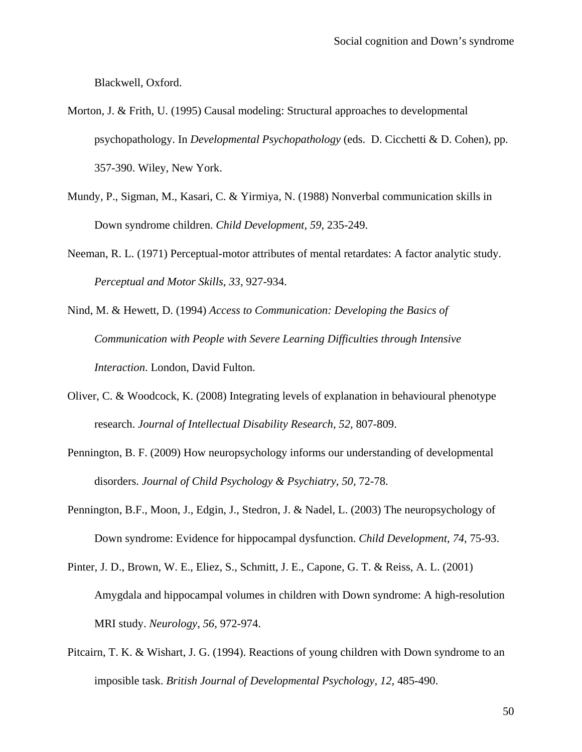Blackwell, Oxford.

- Morton, J. & Frith, U. (1995) Causal modeling: Structural approaches to developmental psychopathology. In *Developmental Psychopathology* (eds. D. Cicchetti & D. Cohen), pp. 357-390. Wiley, New York.
- Mundy, P., Sigman, M., Kasari, C. & Yirmiya, N. (1988) Nonverbal communication skills in Down syndrome children. *Child Development, 59,* 235-249.
- Neeman, R. L. (1971) Perceptual-motor attributes of mental retardates: A factor analytic study. *Perceptual and Motor Skills, 33,* 927-934.
- Nind, M. & Hewett, D. (1994) *Access to Communication: Developing the Basics of Communication with People with Severe Learning Difficulties through Intensive Interaction*. London, David Fulton.
- Oliver, C. & Woodcock, K. (2008) Integrating levels of explanation in behavioural phenotype research. *Journal of Intellectual Disability Research, 52,* 807-809.
- Pennington, B. F. (2009) How neuropsychology informs our understanding of developmental disorders. *Journal of Child Psychology & Psychiatry, 50, 72-78.*
- Pennington, B.F., Moon, J., Edgin, J., Stedron, J. & Nadel, L. (2003) The neuropsychology of Down syndrome: Evidence for hippocampal dysfunction. *Child Development, 74*, 75-93.
- Pinter, J. D., Brown, W. E., Eliez, S., Schmitt, J. E., Capone, G. T. & Reiss, A. L. (2001) Amygdala and hippocampal volumes in children with Down syndrome: A high-resolution MRI study. *Neurology*, *56*, 972-974.
- Pitcairn, T. K. & Wishart, J. G. (1994). Reactions of young children with Down syndrome to an imposible task. *British Journal of Developmental Psychology, 12,* 485-490.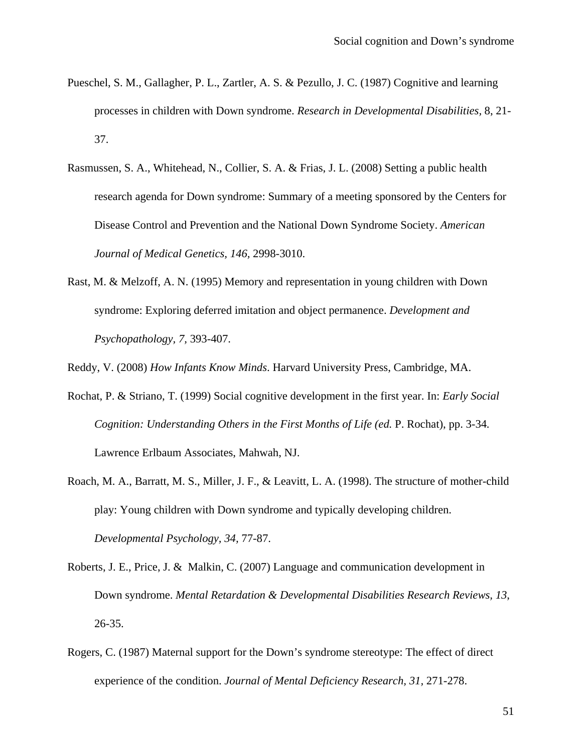- Pueschel, S. M., Gallagher, P. L., Zartler, A. S. & Pezullo, J. C. (1987) Cognitive and learning processes in children with Down syndrome. *Research in Developmental Disabilities,* 8, 21- 37.
- Rasmussen, S. A., Whitehead, N., Collier, S. A. & Frias, J. L. (2008) Setting a public health research agenda for Down syndrome: Summary of a meeting sponsored by the Centers for Disease Control and Prevention and the National Down Syndrome Society. *American Journal of Medical Genetics, 146,* 2998-3010.
- Rast, M. & Melzoff, A. N. (1995) Memory and representation in young children with Down syndrome: Exploring deferred imitation and object permanence. *Development and Psychopathology, 7,* 393-407.

Reddy, V. (2008) *How Infants Know Minds*. Harvard University Press, Cambridge, MA.

- Rochat, P. & Striano, T. (1999) Social cognitive development in the first year. In: *Early Social Cognition: Understanding Others in the First Months of Life (ed. P. Rochat), pp. 3-34.* Lawrence Erlbaum Associates, Mahwah, NJ.
- Roach, M. A., Barratt, M. S., Miller, J. F., & Leavitt, L. A. (1998). The structure of mother-child play: Young children with Down syndrome and typically developing children. *Developmental Psychology, 34,* 77-87.
- Roberts, J. E., Price, J. & Malkin, C. (2007) Language and communication development in Down syndrome. *Mental Retardation & Developmental Disabilities Research Reviews, 13*, 26-35.
- Rogers, C. (1987) Maternal support for the Down's syndrome stereotype: The effect of direct experience of the condition. *Journal of Mental Deficiency Research, 31,* 271-278.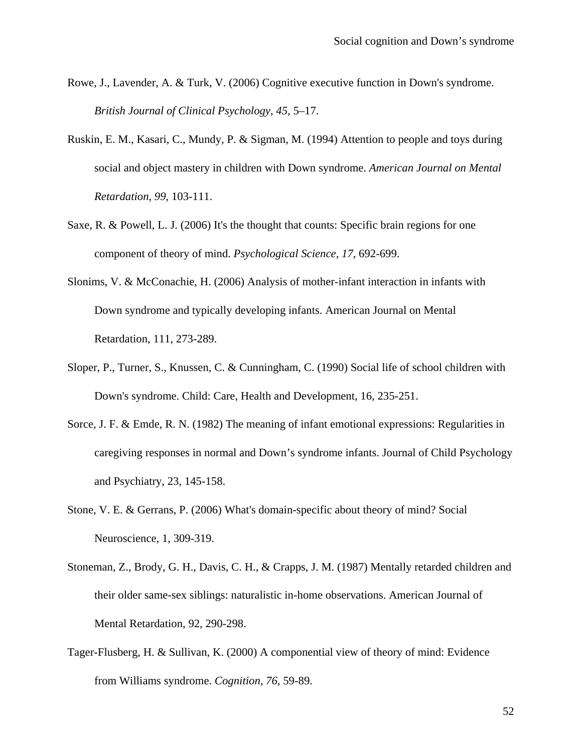- Rowe, J., Lavender, A. & Turk, V. (2006) Cognitive executive function in Down's syndrome. *British Journal of Clinical Psychology, 45,* 5–17.
- Ruskin, E. M., Kasari, C., Mundy, P. & Sigman, M. (1994) Attention to people and toys during social and object mastery in children with Down syndrome. *American Journal on Mental Retardation, 99,* 103-111.
- Saxe, R. & Powell, L. J. (2006) It's the thought that counts: Specific brain regions for one component of theory of mind. *Psychological Science, 17*, 692-699.
- Slonims, V. & McConachie, H. (2006) Analysis of mother-infant interaction in infants with Down syndrome and typically developing infants. American Journal on Mental Retardation, 111, 273-289.
- Sloper, P., Turner, S., Knussen, C. & Cunningham, C. (1990) Social life of school children with Down's syndrome. Child: Care, Health and Development, 16, 235-251.
- Sorce, J. F. & Emde, R. N. (1982) The meaning of infant emotional expressions: Regularities in caregiving responses in normal and Down's syndrome infants. Journal of Child Psychology and Psychiatry, 23, 145-158.
- Stone, V. E. & Gerrans, P. (2006) What's domain-specific about theory of mind? Social Neuroscience, 1, 309-319.
- Stoneman, Z., Brody, G. H., Davis, C. H., & Crapps, J. M. (1987) Mentally retarded children and their older same-sex siblings: naturalistic in-home observations. American Journal of Mental Retardation, 92, 290-298.
- Tager-Flusberg, H. & Sullivan, K. (2000) A componential view of theory of mind: Evidence from Williams syndrome. *Cognition, 76,* 59-89.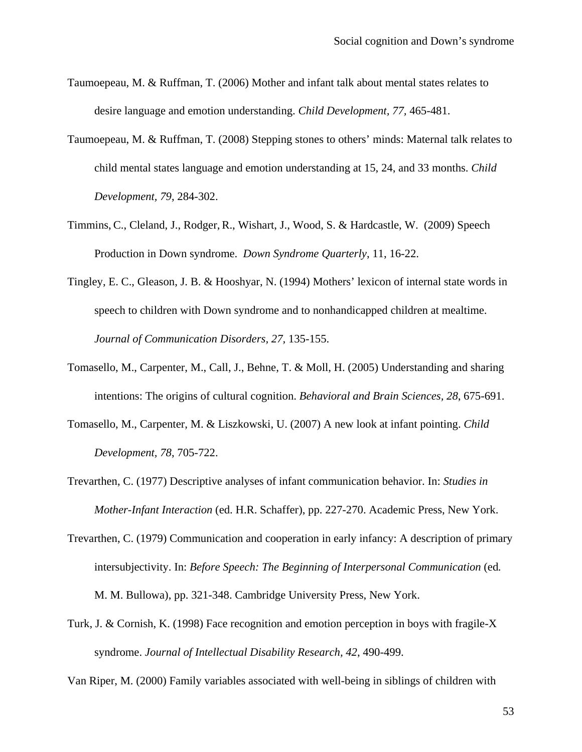- Taumoepeau, M. & Ruffman, T. (2006) Mother and infant talk about mental states relates to desire language and emotion understanding. *Child Development, 77,* 465-481.
- Taumoepeau, M. & Ruffman, T. (2008) Stepping stones to others' minds: Maternal talk relates to child mental states language and emotion understanding at 15, 24, and 33 months. *Child Development, 79*, 284-302.
- Timmins, C., Cleland, J., Rodger, R., Wishart, J., Wood, S. & Hardcastle, W. (2009) Speech Production in Down syndrome. *Down Syndrome Quarterly*, 11, 16-22.
- Tingley, E. C., Gleason, J. B. & Hooshyar, N. (1994) Mothers' lexicon of internal state words in speech to children with Down syndrome and to nonhandicapped children at mealtime. *Journal of Communication Disorders, 27,* 135-155.
- Tomasello, M., Carpenter, M., Call, J., Behne, T. & Moll, H. (2005) Understanding and sharing intentions: The origins of cultural cognition. *Behavioral and Brain Sciences, 28*, 675-691.
- Tomasello, M., Carpenter, M. & Liszkowski, U. (2007) A new look at infant pointing. *Child Development, 78*, 705-722.
- Trevarthen, C. (1977) Descriptive analyses of infant communication behavior. In: *Studies in Mother-Infant Interaction* (ed. H.R. Schaffer), pp. 227-270. Academic Press, New York.
- Trevarthen, C. (1979) Communication and cooperation in early infancy: A description of primary intersubjectivity. In: *Before Speech: The Beginning of Interpersonal Communication* (ed. M. M. Bullowa), pp. 321-348. Cambridge University Press, New York.
- Turk, J. & Cornish, K. (1998) Face recognition and emotion perception in boys with fragile-X syndrome. *Journal of Intellectual Disability Research, 42*, 490-499.

Van Riper, M. (2000) Family variables associated with well-being in siblings of children with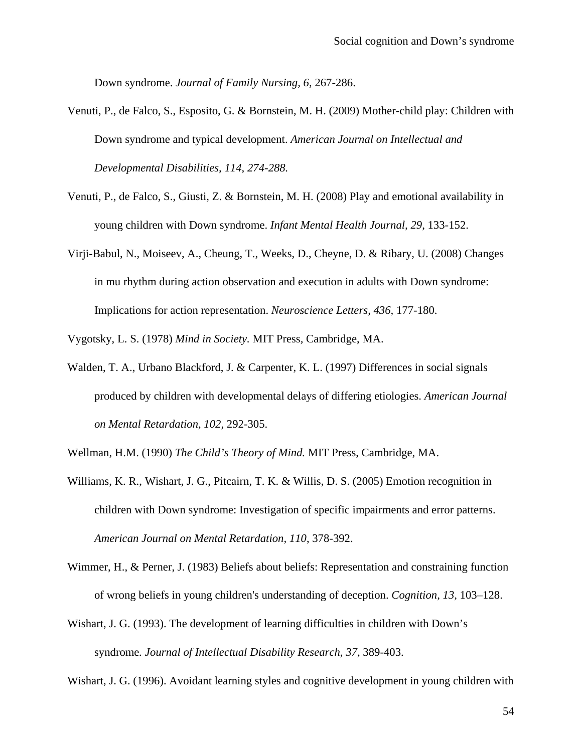Down syndrome. *Journal of Family Nursing, 6,* 267-286.

- Venuti, P., de Falco, S., Esposito, G. & Bornstein, M. H. (2009) Mother-child play: Children with Down syndrome and typical development. *American Journal on Intellectual and Developmental Disabilities, 114, 274-288.*
- Venuti, P., de Falco, S., Giusti, Z. & Bornstein, M. H. (2008) Play and emotional availability in young children with Down syndrome. *Infant Mental Health Journal, 29*, 133-152.
- Virji-Babul, N., Moiseev, A., Cheung, T., Weeks, D., Cheyne, D. & Ribary, U. (2008) Changes in mu rhythm during action observation and execution in adults with Down syndrome: Implications for action representation. *Neuroscience Letters, 436,* 177-180.

Vygotsky, L. S. (1978) *Mind in Society.* MIT Press*,* Cambridge, MA.

Walden, T. A., Urbano Blackford, J. & Carpenter, K. L. (1997) Differences in social signals produced by children with developmental delays of differing etiologies. *American Journal on Mental Retardation, 102,* 292-305.

Wellman, H.M. (1990) *The Child's Theory of Mind.* MIT Press, Cambridge, MA.

- Williams, K. R., Wishart, J. G., Pitcairn, T. K. & Willis, D. S. (2005) Emotion recognition in children with Down syndrome: Investigation of specific impairments and error patterns. *American Journal on Mental Retardation, 110*, 378-392.
- Wimmer, H., & Perner, J. (1983) Beliefs about beliefs: Representation and constraining function of wrong beliefs in young children's understanding of deception. *Cognition, 13,* 103–128.
- Wishart, J. G. (1993). The development of learning difficulties in children with Down's syndrome*. Journal of Intellectual Disability Research*, *37*, 389-403.

Wishart, J. G. (1996). Avoidant learning styles and cognitive development in young children with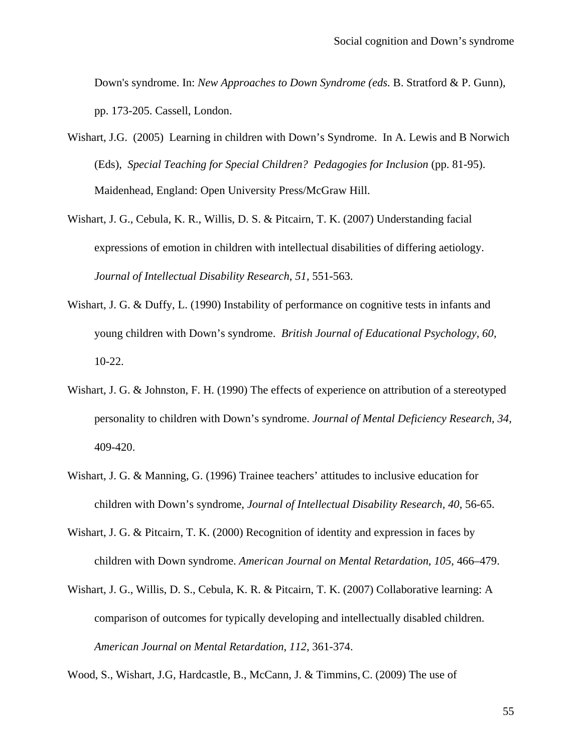Down's syndrome. In: *New Approaches to Down Syndrome (eds.* B. Stratford & P. Gunn), pp. 173-205. Cassell, London.

- Wishart, J.G. (2005) Learning in children with Down's Syndrome. In A. Lewis and B Norwich (Eds), *Special Teaching for Special Children? Pedagogies for Inclusion* (pp. 81-95). Maidenhead, England: Open University Press/McGraw Hill.
- Wishart, J. G., Cebula, K. R., Willis, D. S. & Pitcairn, T. K. (2007) Understanding facial expressions of emotion in children with intellectual disabilities of differing aetiology. *Journal of Intellectual Disability Research*, *51,* 551-563.
- Wishart, J. G. & Duffy, L. (1990) Instability of performance on cognitive tests in infants and young children with Down's syndrome. *British Journal of Educational Psychology, 60,* 10-22.
- Wishart, J. G. & Johnston, F. H. (1990) The effects of experience on attribution of a stereotyped personality to children with Down's syndrome. *Journal of Mental Deficiency Research, 34,* 409-420.
- Wishart, J. G. & Manning, G. (1996) Trainee teachers' attitudes to inclusive education for children with Down's syndrome, *Journal of Intellectual Disability Research, 40,* 56-65.
- Wishart, J. G. & Pitcairn, T. K. (2000) Recognition of identity and expression in faces by children with Down syndrome. *American Journal on Mental Retardation*, *105*, 466–479.
- Wishart, J. G., Willis, D. S., Cebula, K. R. & Pitcairn, T. K. (2007) Collaborative learning: A comparison of outcomes for typically developing and intellectually disabled children. *American Journal on Mental Retardation*, *112,* 361-374.

Wood, S., Wishart, J.G, Hardcastle, B., McCann, J. & Timmins,C. (2009) The use of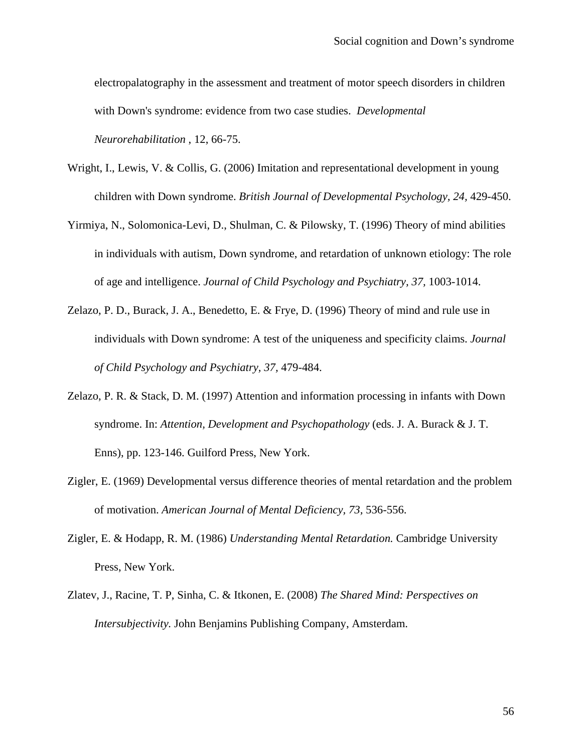electropalatography in the assessment and treatment of motor speech disorders in children with Down's syndrome: evidence from two case studies. *Developmental Neurorehabilitation* , 12, 66-75.

- Wright, I., Lewis, V. & Collis, G. (2006) Imitation and representational development in young children with Down syndrome. *British Journal of Developmental Psychology, 24,* 429-450.
- Yirmiya, N., Solomonica-Levi, D., Shulman, C. & Pilowsky, T. (1996) Theory of mind abilities in individuals with autism, Down syndrome, and retardation of unknown etiology: The role of age and intelligence. *Journal of Child Psychology and Psychiatry, 37,* 1003-1014.
- Zelazo, P. D., Burack, J. A., Benedetto, E. & Frye, D. (1996) Theory of mind and rule use in individuals with Down syndrome: A test of the uniqueness and specificity claims. *Journal of Child Psychology and Psychiatry, 37,* 479-484.
- Zelazo, P. R. & Stack, D. M. (1997) Attention and information processing in infants with Down syndrome. In: *Attention, Development and Psychopathology* (eds. J. A. Burack & J. T. Enns), pp. 123-146. Guilford Press, New York.
- Zigler, E. (1969) Developmental versus difference theories of mental retardation and the problem of motivation. *American Journal of Mental Deficiency, 73,* 536-556.
- Zigler, E. & Hodapp, R. M. (1986) *Understanding Mental Retardation.* Cambridge University Press, New York.
- Zlatev, J., Racine, T. P, Sinha, C. & Itkonen, E. (2008) *The Shared Mind: Perspectives on Intersubjectivity.* John Benjamins Publishing Company, Amsterdam.